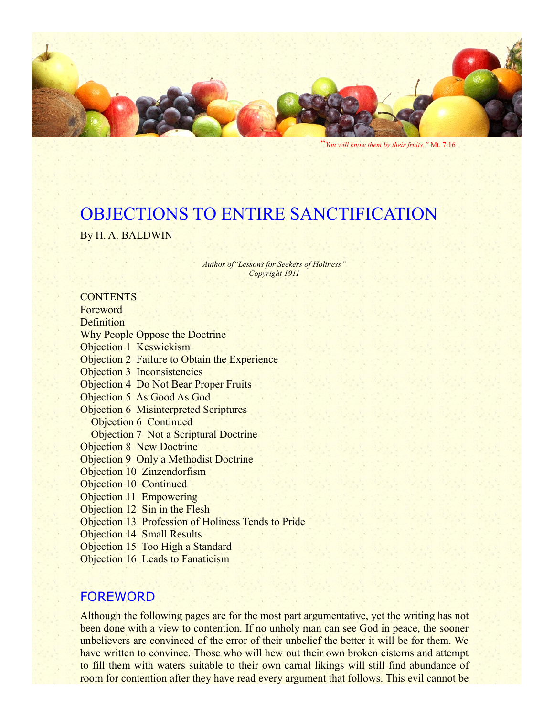

"*You will know them by their fruits."* Mt. 7:16

# OBJECTIONS TO ENTIRE SANCTIFICATION

By H. A. BALDWIN

*Author of"Lessons for Seekers of Holiness" Copyright 1911*

**CONTENTS** Foreword **Definition** Why People Oppose the Doctrine Objection 1 Keswickism Objection 2 Failure to Obtain the Experience Objection 3 Inconsistencies Objection 4 Do Not Bear Proper Fruits Objection 5 As Good As God Objection 6 Misinterpreted Scriptures Objection 6 Continued Objection 7 Not a Scriptural Doctrine Objection 8 New Doctrine Objection 9 Only a Methodist Doctrine Objection 10 Zinzendorfism Objection 10 Continued Objection 11 Empowering Objection 12 Sin in the Flesh Objection 13 Profession of Holiness Tends to Pride Objection 14 Small Results Objection 15 Too High a Standard Objection 16 Leads to Fanaticism

### FOREWORD

Although the following pages are for the most part argumentative, yet the writing has not been done with a view to contention. If no unholy man can see God in peace, the sooner unbelievers are convinced of the error of their unbelief the better it will be for them. We have written to convince. Those who will hew out their own broken cisterns and attempt to fill them with waters suitable to their own carnal likings will still find abundance of room for contention after they have read every argument that follows. This evil cannot be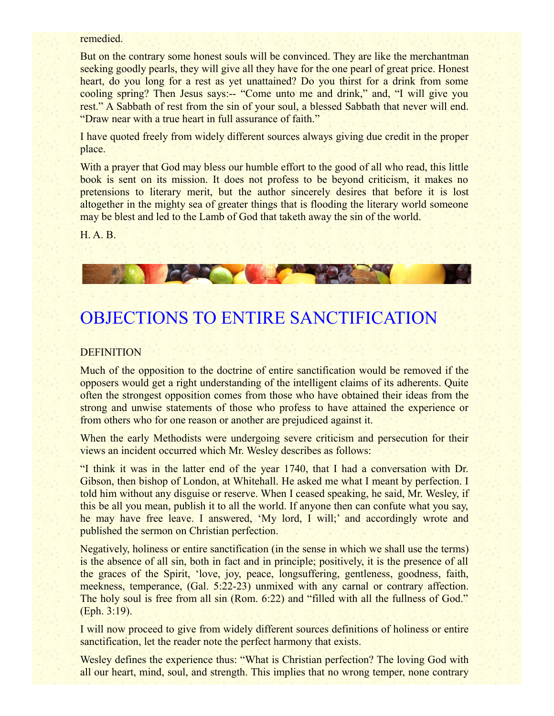#### remedied.

But on the contrary some honest souls will be convinced. They are like the merchantman seeking goodly pearls, they will give all they have for the one pearl of great price. Honest heart, do you long for a rest as yet unattained? Do you thirst for a drink from some cooling spring? Then Jesus says:-- "Come unto me and drink," and, "I will give you rest." A Sabbath of rest from the sin of your soul, a blessed Sabbath that never will end. "Draw near with a true heart in full assurance of faith."

I have quoted freely from widely different sources always giving due credit in the proper place.

With a prayer that God may bless our humble effort to the good of all who read, this little book is sent on its mission. It does not profess to be beyond criticism, it makes no pretensions to literary merit, but the author sincerely desires that before it is lost altogether in the mighty sea of greater things that is flooding the literary world someone may be blest and led to the Lamb of God that taketh away the sin of the world.

H. A. B.



## OBJECTIONS TO ENTIRE SANCTIFICATION

#### **DEFINITION**

Much of the opposition to the doctrine of entire sanctification would be removed if the opposers would get a right understanding of the intelligent claims of its adherents. Quite often the strongest opposition comes from those who have obtained their ideas from the strong and unwise statements of those who profess to have attained the experience or from others who for one reason or another are prejudiced against it.

When the early Methodists were undergoing severe criticism and persecution for their views an incident occurred which Mr. Wesley describes as follows:

"I think it was in the latter end of the year 1740, that I had a conversation with Dr. Gibson, then bishop of London, at Whitehall. He asked me what I meant by perfection. I told him without any disguise or reserve. When I ceased speaking, he said, Mr. Wesley, if this be all you mean, publish it to all the world. If anyone then can confute what you say, he may have free leave. I answered, 'My lord, I will;' and accordingly wrote and published the sermon on Christian perfection.

Negatively, holiness or entire sanctification (in the sense in which we shall use the terms) is the absence of all sin, both in fact and in principle; positively, it is the presence of all the graces of the Spirit, 'love, joy, peace, longsuffering, gentleness, goodness, faith, meekness, temperance, (Gal. 5:22-23) unmixed with any carnal or contrary affection. The holy soul is free from all sin (Rom. 6:22) and "filled with all the fullness of God." (Eph. 3:19).

I will now proceed to give from widely different sources definitions of holiness or entire sanctification, let the reader note the perfect harmony that exists.

Wesley defines the experience thus: "What is Christian perfection? The loving God with all our heart, mind, soul, and strength. This implies that no wrong temper, none contrary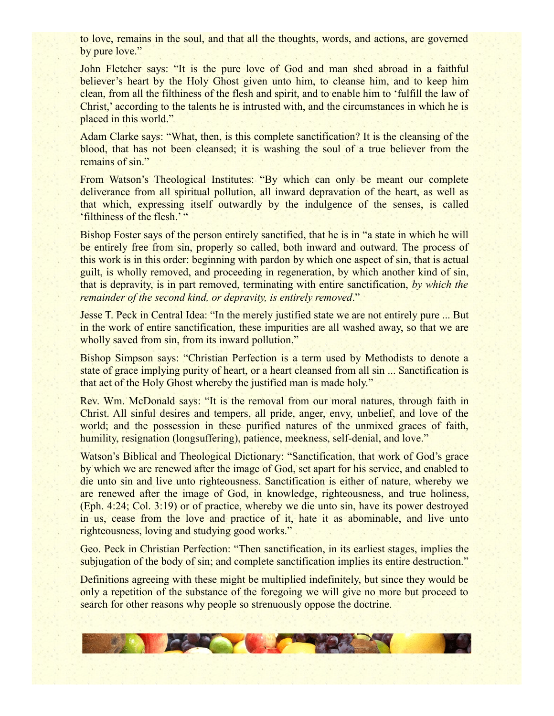to love, remains in the soul, and that all the thoughts, words, and actions, are governed by pure love."

John Fletcher says: "It is the pure love of God and man shed abroad in a faithful believer's heart by the Holy Ghost given unto him, to cleanse him, and to keep him clean, from all the filthiness of the flesh and spirit, and to enable him to 'fulfill the law of Christ,' according to the talents he is intrusted with, and the circumstances in which he is placed in this world."

Adam Clarke says: "What, then, is this complete sanctification? It is the cleansing of the blood, that has not been cleansed; it is washing the soul of a true believer from the remains of sin."

From Watson's Theological Institutes: "By which can only be meant our complete deliverance from all spiritual pollution, all inward depravation of the heart, as well as that which, expressing itself outwardly by the indulgence of the senses, is called 'filthiness of the flesh.'"

Bishop Foster says of the person entirely sanctified, that he is in "a state in which he will be entirely free from sin, properly so called, both inward and outward. The process of this work is in this order: beginning with pardon by which one aspect of sin, that is actual guilt, is wholly removed, and proceeding in regeneration, by which another kind of sin, that is depravity, is in part removed, terminating with entire sanctification, *by which the remainder of the second kind, or depravity, is entirely removed*."

Jesse T. Peck in Central Idea: "In the merely justified state we are not entirely pure ... But in the work of entire sanctification, these impurities are all washed away, so that we are wholly saved from sin, from its inward pollution."

Bishop Simpson says: "Christian Perfection is a term used by Methodists to denote a state of grace implying purity of heart, or a heart cleansed from all sin ... Sanctification is that act of the Holy Ghost whereby the justified man is made holy."

Rev. Wm. McDonald says: "It is the removal from our moral natures, through faith in Christ. All sinful desires and tempers, all pride, anger, envy, unbelief, and love of the world; and the possession in these purified natures of the unmixed graces of faith, humility, resignation (longsuffering), patience, meekness, self-denial, and love."

Watson's Biblical and Theological Dictionary: "Sanctification, that work of God's grace by which we are renewed after the image of God, set apart for his service, and enabled to die unto sin and live unto righteousness. Sanctification is either of nature, whereby we are renewed after the image of God, in knowledge, righteousness, and true holiness, (Eph. 4:24; Col. 3:19) or of practice, whereby we die unto sin, have its power destroyed in us, cease from the love and practice of it, hate it as abominable, and live unto righteousness, loving and studying good works."

Geo. Peck in Christian Perfection: "Then sanctification, in its earliest stages, implies the subjugation of the body of sin; and complete sanctification implies its entire destruction."

Definitions agreeing with these might be multiplied indefinitely, but since they would be only a repetition of the substance of the foregoing we will give no more but proceed to search for other reasons why people so strenuously oppose the doctrine.

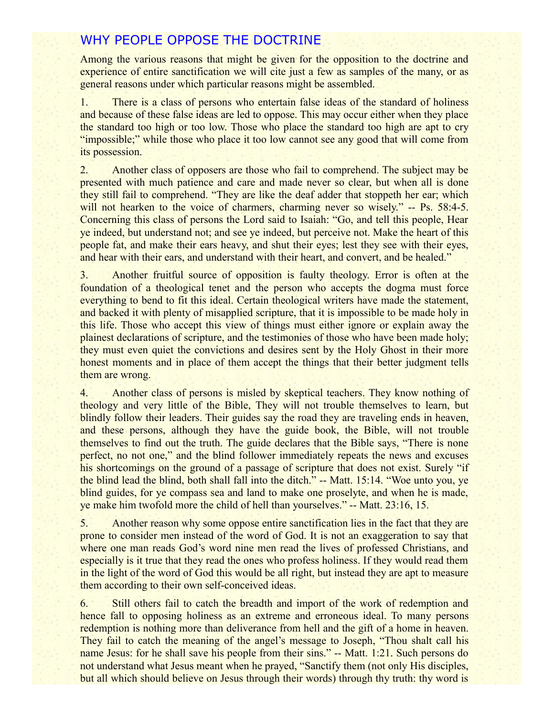### WHY PEOPLE OPPOSE THE DOCTRINE

Among the various reasons that might be given for the opposition to the doctrine and experience of entire sanctification we will cite just a few as samples of the many, or as general reasons under which particular reasons might be assembled.

1. There is a class of persons who entertain false ideas of the standard of holiness and because of these false ideas are led to oppose. This may occur either when they place the standard too high or too low. Those who place the standard too high are apt to cry "impossible;" while those who place it too low cannot see any good that will come from its possession.

2. Another class of opposers are those who fail to comprehend. The subject may be presented with much patience and care and made never so clear, but when all is done they still fail to comprehend. "They are like the deaf adder that stoppeth her ear; which will not hearken to the voice of charmers, charming never so wisely." -- Ps. 58:4-5. Concerning this class of persons the Lord said to Isaiah: "Go, and tell this people, Hear ye indeed, but understand not; and see ye indeed, but perceive not. Make the heart of this people fat, and make their ears heavy, and shut their eyes; lest they see with their eyes, and hear with their ears, and understand with their heart, and convert, and be healed."

3. Another fruitful source of opposition is faulty theology. Error is often at the foundation of a theological tenet and the person who accepts the dogma must force everything to bend to fit this ideal. Certain theological writers have made the statement, and backed it with plenty of misapplied scripture, that it is impossible to be made holy in this life. Those who accept this view of things must either ignore or explain away the plainest declarations of scripture, and the testimonies of those who have been made holy; they must even quiet the convictions and desires sent by the Holy Ghost in their more honest moments and in place of them accept the things that their better judgment tells them are wrong.

4. Another class of persons is misled by skeptical teachers. They know nothing of theology and very little of the Bible, They will not trouble themselves to learn, but blindly follow their leaders. Their guides say the road they are traveling ends in heaven, and these persons, although they have the guide book, the Bible, will not trouble themselves to find out the truth. The guide declares that the Bible says, "There is none perfect, no not one," and the blind follower immediately repeats the news and excuses his shortcomings on the ground of a passage of scripture that does not exist. Surely "if the blind lead the blind, both shall fall into the ditch." -- Matt. 15:14. "Woe unto you, ye blind guides, for ye compass sea and land to make one proselyte, and when he is made, ye make him twofold more the child of hell than yourselves." -- Matt. 23:16, 15.

5. Another reason why some oppose entire sanctification lies in the fact that they are prone to consider men instead of the word of God. It is not an exaggeration to say that where one man reads God's word nine men read the lives of professed Christians, and especially is it true that they read the ones who profess holiness. If they would read them in the light of the word of God this would be all right, but instead they are apt to measure them according to their own self-conceived ideas.

6. Still others fail to catch the breadth and import of the work of redemption and hence fall to opposing holiness as an extreme and erroneous ideal. To many persons redemption is nothing more than deliverance from hell and the gift of a home in heaven. They fail to catch the meaning of the angel's message to Joseph, "Thou shalt call his name Jesus: for he shall save his people from their sins." -- Matt. 1:21. Such persons do not understand what Jesus meant when he prayed, "Sanctify them (not only His disciples, but all which should believe on Jesus through their words) through thy truth: thy word is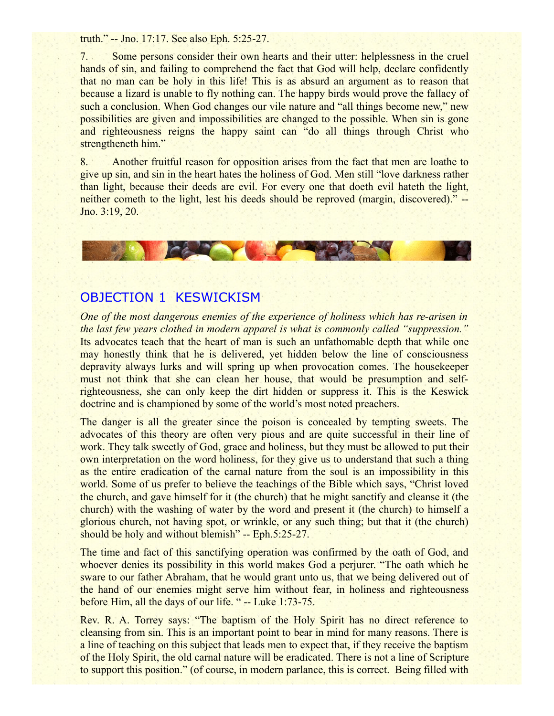truth." -- Jno. 17:17. See also Eph. 5:25-27.

7. Some persons consider their own hearts and their utter: helplessness in the cruel hands of sin, and failing to comprehend the fact that God will help, declare confidently that no man can be holy in this life! This is as absurd an argument as to reason that because a lizard is unable to fly nothing can. The happy birds would prove the fallacy of such a conclusion. When God changes our vile nature and "all things become new," new possibilities are given and impossibilities are changed to the possible. When sin is gone and righteousness reigns the happy saint can "do all things through Christ who strengtheneth him."

8. Another fruitful reason for opposition arises from the fact that men are loathe to give up sin, and sin in the heart hates the holiness of God. Men still "love darkness rather than light, because their deeds are evil. For every one that doeth evil hateth the light, neither cometh to the light, lest his deeds should be reproved (margin, discovered)." --Jno. 3:19, 20.



### OBJECTION 1 KESWICKISM

*One of the most dangerous enemies of the experience of holiness which has re-arisen in the last few years clothed in modern apparel is what is commonly called "suppression."* Its advocates teach that the heart of man is such an unfathomable depth that while one may honestly think that he is delivered, yet hidden below the line of consciousness depravity always lurks and will spring up when provocation comes. The housekeeper must not think that she can clean her house, that would be presumption and selfrighteousness, she can only keep the dirt hidden or suppress it. This is the Keswick doctrine and is championed by some of the world's most noted preachers.

The danger is all the greater since the poison is concealed by tempting sweets. The advocates of this theory are often very pious and are quite successful in their line of work. They talk sweetly of God, grace and holiness, but they must be allowed to put their own interpretation on the word holiness, for they give us to understand that such a thing as the entire eradication of the carnal nature from the soul is an impossibility in this world. Some of us prefer to believe the teachings of the Bible which says, "Christ loved the church, and gave himself for it (the church) that he might sanctify and cleanse it (the church) with the washing of water by the word and present it (the church) to himself a glorious church, not having spot, or wrinkle, or any such thing; but that it (the church) should be holy and without blemish" -- Eph.5:25-27.

The time and fact of this sanctifying operation was confirmed by the oath of God, and whoever denies its possibility in this world makes God a perjurer. "The oath which he sware to our father Abraham, that he would grant unto us, that we being delivered out of the hand of our enemies might serve him without fear, in holiness and righteousness before Him, all the days of our life. " -- Luke 1:73-75.

Rev. R. A. Torrey says: "The baptism of the Holy Spirit has no direct reference to cleansing from sin. This is an important point to bear in mind for many reasons. There is a line of teaching on this subject that leads men to expect that, if they receive the baptism of the Holy Spirit, the old carnal nature will be eradicated. There is not a line of Scripture to support this position." (of course, in modern parlance, this is correct. Being filled with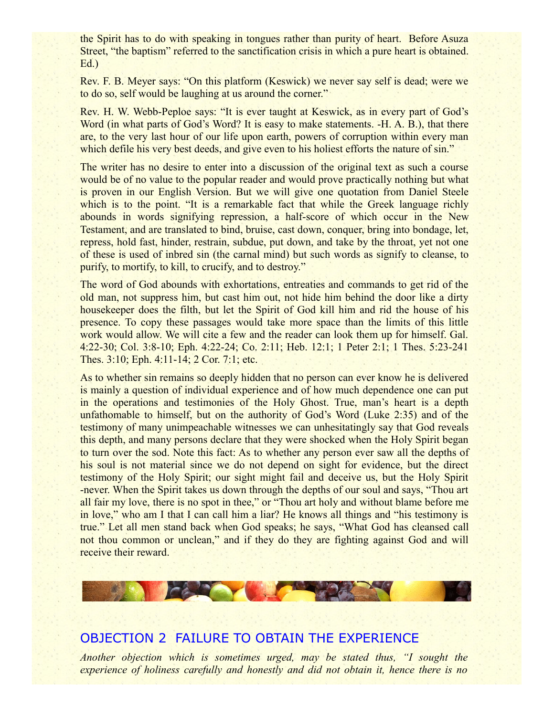the Spirit has to do with speaking in tongues rather than purity of heart. Before Asuza Street, "the baptism" referred to the sanctification crisis in which a pure heart is obtained. Ed.)

Rev. F. B. Meyer says: "On this platform (Keswick) we never say self is dead; were we to do so, self would be laughing at us around the corner."

Rev. H. W. Webb-Peploe says: "It is ever taught at Keswick, as in every part of God's Word (in what parts of God's Word? It is easy to make statements. -H. A. B.), that there are, to the very last hour of our life upon earth, powers of corruption within every man which defile his very best deeds, and give even to his holiest efforts the nature of sin."

The writer has no desire to enter into a discussion of the original text as such a course would be of no value to the popular reader and would prove practically nothing but what is proven in our English Version. But we will give one quotation from Daniel Steele which is to the point. "It is a remarkable fact that while the Greek language richly abounds in words signifying repression, a half-score of which occur in the New Testament, and are translated to bind, bruise, cast down, conquer, bring into bondage, let, repress, hold fast, hinder, restrain, subdue, put down, and take by the throat, yet not one of these is used of inbred sin (the carnal mind) but such words as signify to cleanse, to purify, to mortify, to kill, to crucify, and to destroy."

The word of God abounds with exhortations, entreaties and commands to get rid of the old man, not suppress him, but cast him out, not hide him behind the door like a dirty housekeeper does the filth, but let the Spirit of God kill him and rid the house of his presence. To copy these passages would take more space than the limits of this little work would allow. We will cite a few and the reader can look them up for himself. Gal. 4:22-30; Col. 3:8-10; Eph. 4:22-24; Co. 2:11; Heb. 12:1; 1 Peter 2:1; 1 Thes. 5:23-241 Thes. 3:10; Eph. 4:11-14; 2 Cor. 7:1; etc.

As to whether sin remains so deeply hidden that no person can ever know he is delivered is mainly a question of individual experience and of how much dependence one can put in the operations and testimonies of the Holy Ghost. True, man's heart is a depth unfathomable to himself, but on the authority of God's Word (Luke 2:35) and of the testimony of many unimpeachable witnesses we can unhesitatingly say that God reveals this depth, and many persons declare that they were shocked when the Holy Spirit began to turn over the sod. Note this fact: As to whether any person ever saw all the depths of his soul is not material since we do not depend on sight for evidence, but the direct testimony of the Holy Spirit; our sight might fail and deceive us, but the Holy Spirit -never. When the Spirit takes us down through the depths of our soul and says, "Thou art all fair my love, there is no spot in thee," or "Thou art holy and without blame before me in love," who am I that I can call him a liar? He knows all things and "his testimony is true." Let all men stand back when God speaks; he says, "What God has cleansed call not thou common or unclean," and if they do they are fighting against God and will receive their reward.



### OBJECTION 2 FAILURE TO OBTAIN THE EXPERIENCE

*Another objection which is sometimes urged, may be stated thus, "I sought the experience of holiness carefully and honestly and did not obtain it, hence there is no*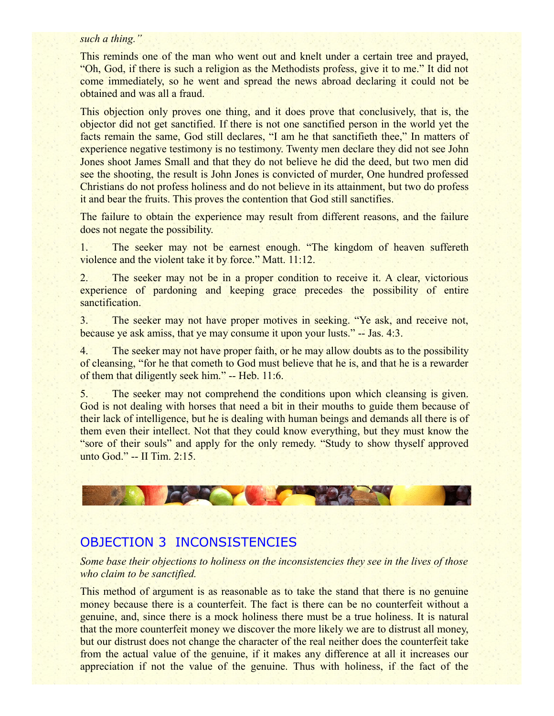#### *such a thing."*

This reminds one of the man who went out and knelt under a certain tree and prayed, "Oh, God, if there is such a religion as the Methodists profess, give it to me." It did not come immediately, so he went and spread the news abroad declaring it could not be obtained and was all a fraud.

This objection only proves one thing, and it does prove that conclusively, that is, the objector did not get sanctified. If there is not one sanctified person in the world yet the facts remain the same, God still declares, "I am he that sanctifieth thee," In matters of experience negative testimony is no testimony. Twenty men declare they did not see John Jones shoot James Small and that they do not believe he did the deed, but two men did see the shooting, the result is John Jones is convicted of murder, One hundred professed Christians do not profess holiness and do not believe in its attainment, but two do profess it and bear the fruits. This proves the contention that God still sanctifies.

The failure to obtain the experience may result from different reasons, and the failure does not negate the possibility.

1. The seeker may not be earnest enough. "The kingdom of heaven suffereth violence and the violent take it by force." Matt. 11:12.

2. The seeker may not be in a proper condition to receive it. A clear, victorious experience of pardoning and keeping grace precedes the possibility of entire sanctification.

3. The seeker may not have proper motives in seeking. "Ye ask, and receive not, because ye ask amiss, that ye may consume it upon your lusts." -- Jas. 4:3.

4. The seeker may not have proper faith, or he may allow doubts as to the possibility of cleansing, "for he that cometh to God must believe that he is, and that he is a rewarder of them that diligently seek him." -- Heb. 11:6.

5. The seeker may not comprehend the conditions upon which cleansing is given. God is not dealing with horses that need a bit in their mouths to guide them because of their lack of intelligence, but he is dealing with human beings and demands all there is of them even their intellect. Not that they could know everything, but they must know the "sore of their souls" and apply for the only remedy. "Study to show thyself approved unto God." -- II Tim. 2:15.



### OBJECTION 3 INCONSISTENCIES

*Some base their objections to holiness on the inconsistencies they see in the lives of those who claim to be sanctified.*

This method of argument is as reasonable as to take the stand that there is no genuine money because there is a counterfeit. The fact is there can be no counterfeit without a genuine, and, since there is a mock holiness there must be a true holiness. It is natural that the more counterfeit money we discover the more likely we are to distrust all money, but our distrust does not change the character of the real neither does the counterfeit take from the actual value of the genuine, if it makes any difference at all it increases our appreciation if not the value of the genuine. Thus with holiness, if the fact of the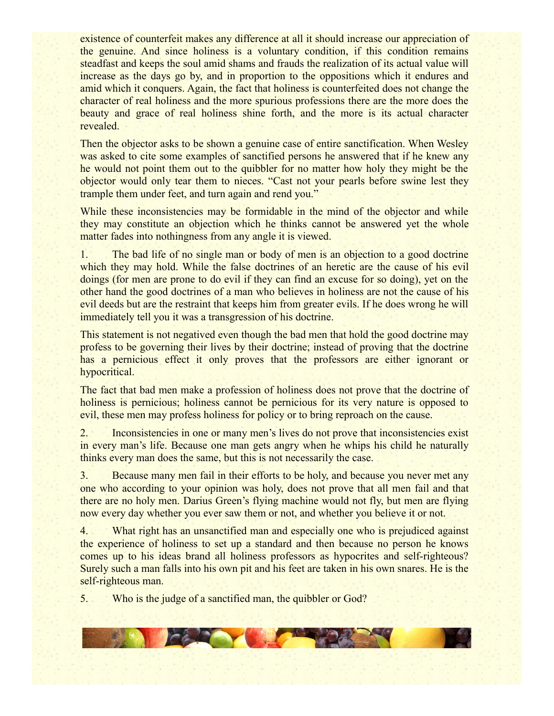existence of counterfeit makes any difference at all it should increase our appreciation of the genuine. And since holiness is a voluntary condition, if this condition remains steadfast and keeps the soul amid shams and frauds the realization of its actual value will increase as the days go by, and in proportion to the oppositions which it endures and amid which it conquers. Again, the fact that holiness is counterfeited does not change the character of real holiness and the more spurious professions there are the more does the beauty and grace of real holiness shine forth, and the more is its actual character revealed.

Then the objector asks to be shown a genuine case of entire sanctification. When Wesley was asked to cite some examples of sanctified persons he answered that if he knew any he would not point them out to the quibbler for no matter how holy they might be the objector would only tear them to nieces. "Cast not your pearls before swine lest they trample them under feet, and turn again and rend you."

While these inconsistencies may be formidable in the mind of the objector and while they may constitute an objection which he thinks cannot be answered yet the whole matter fades into nothingness from any angle it is viewed.

1. The bad life of no single man or body of men is an objection to a good doctrine which they may hold. While the false doctrines of an heretic are the cause of his evil doings (for men are prone to do evil if they can find an excuse for so doing), yet on the other hand the good doctrines of a man who believes in holiness are not the cause of his evil deeds but are the restraint that keeps him from greater evils. If he does wrong he will immediately tell you it was a transgression of his doctrine.

This statement is not negatived even though the bad men that hold the good doctrine may profess to be governing their lives by their doctrine; instead of proving that the doctrine has a pernicious effect it only proves that the professors are either ignorant or hypocritical.

The fact that bad men make a profession of holiness does not prove that the doctrine of holiness is pernicious; holiness cannot be pernicious for its very nature is opposed to evil, these men may profess holiness for policy or to bring reproach on the cause.

2. Inconsistencies in one or many men's lives do not prove that inconsistencies exist in every man's life. Because one man gets angry when he whips his child he naturally thinks every man does the same, but this is not necessarily the case.

3. Because many men fail in their efforts to be holy, and because you never met any one who according to your opinion was holy, does not prove that all men fail and that there are no holy men. Darius Green's flying machine would not fly, but men are flying now every day whether you ever saw them or not, and whether you believe it or not.

4. What right has an unsanctified man and especially one who is prejudiced against the experience of holiness to set up a standard and then because no person he knows comes up to his ideas brand all holiness professors as hypocrites and self-righteous? Surely such a man falls into his own pit and his feet are taken in his own snares. He is the self-righteous man.

5. Who is the judge of a sanctified man, the quibbler or God?

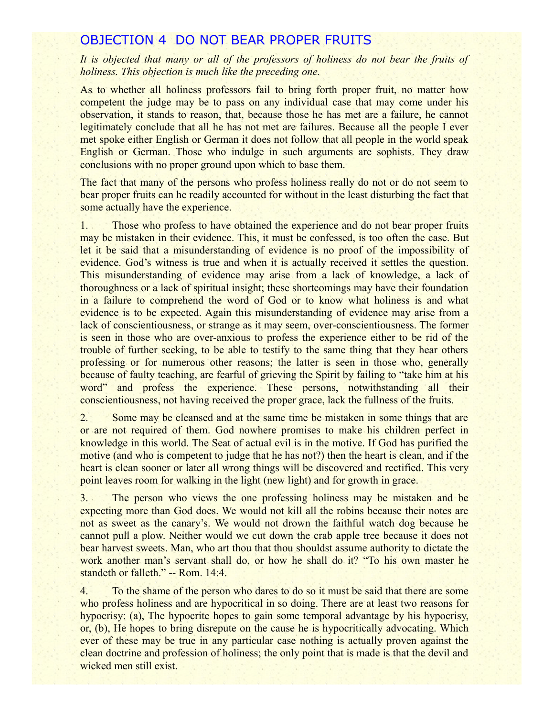### OBJECTION 4 DO NOT BEAR PROPER FRUITS

*It is objected that many or all of the professors of holiness do not bear the fruits of holiness. This objection is much like the preceding one.*

As to whether all holiness professors fail to bring forth proper fruit, no matter how competent the judge may be to pass on any individual case that may come under his observation, it stands to reason, that, because those he has met are a failure, he cannot legitimately conclude that all he has not met are failures. Because all the people I ever met spoke either English or German it does not follow that all people in the world speak English or German. Those who indulge in such arguments are sophists. They draw conclusions with no proper ground upon which to base them.

The fact that many of the persons who profess holiness really do not or do not seem to bear proper fruits can he readily accounted for without in the least disturbing the fact that some actually have the experience.

1. Those who profess to have obtained the experience and do not bear proper fruits may be mistaken in their evidence. This, it must be confessed, is too often the case. But let it be said that a misunderstanding of evidence is no proof of the impossibility of evidence. God's witness is true and when it is actually received it settles the question. This misunderstanding of evidence may arise from a lack of knowledge, a lack of thoroughness or a lack of spiritual insight; these shortcomings may have their foundation in a failure to comprehend the word of God or to know what holiness is and what evidence is to be expected. Again this misunderstanding of evidence may arise from a lack of conscientiousness, or strange as it may seem, over-conscientiousness. The former is seen in those who are over-anxious to profess the experience either to be rid of the trouble of further seeking, to be able to testify to the same thing that they hear others professing or for numerous other reasons; the latter is seen in those who, generally because of faulty teaching, are fearful of grieving the Spirit by failing to "take him at his word" and profess the experience. These persons, notwithstanding all their conscientiousness, not having received the proper grace, lack the fullness of the fruits.

2. Some may be cleansed and at the same time be mistaken in some things that are or are not required of them. God nowhere promises to make his children perfect in knowledge in this world. The Seat of actual evil is in the motive. If God has purified the motive (and who is competent to judge that he has not?) then the heart is clean, and if the heart is clean sooner or later all wrong things will be discovered and rectified. This very point leaves room for walking in the light (new light) and for growth in grace.

3. The person who views the one professing holiness may be mistaken and be expecting more than God does. We would not kill all the robins because their notes are not as sweet as the canary's. We would not drown the faithful watch dog because he cannot pull a plow. Neither would we cut down the crab apple tree because it does not bear harvest sweets. Man, who art thou that thou shouldst assume authority to dictate the work another man's servant shall do, or how he shall do it? "To his own master he standeth or falleth." -- Rom. 14:4.

4. To the shame of the person who dares to do so it must be said that there are some who profess holiness and are hypocritical in so doing. There are at least two reasons for hypocrisy: (a), The hypocrite hopes to gain some temporal advantage by his hypocrisy, or, (b), He hopes to bring disrepute on the cause he is hypocritically advocating. Which ever of these may be true in any particular case nothing is actually proven against the clean doctrine and profession of holiness; the only point that is made is that the devil and wicked men still exist.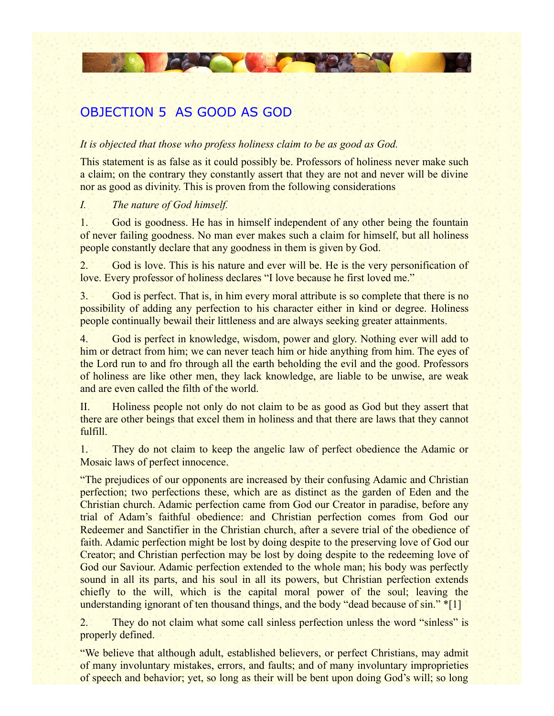### OBJECTION 5 AS GOOD AS GOD

#### *It is objected that those who profess holiness claim to be as good as God.*

**The Common Street, Supply of the Common Street, Supply and Street, Supply and Street, Supply and Street, Supply and** 

This statement is as false as it could possibly be. Professors of holiness never make such a claim; on the contrary they constantly assert that they are not and never will be divine nor as good as divinity. This is proven from the following considerations

#### *I. The nature of God himself.*

1. God is goodness. He has in himself independent of any other being the fountain of never failing goodness. No man ever makes such a claim for himself, but all holiness people constantly declare that any goodness in them is given by God.

2. God is love. This is his nature and ever will be. He is the very personification of love. Every professor of holiness declares "I love because he first loved me."

3. God is perfect. That is, in him every moral attribute is so complete that there is no possibility of adding any perfection to his character either in kind or degree. Holiness people continually bewail their littleness and are always seeking greater attainments.

4. God is perfect in knowledge, wisdom, power and glory. Nothing ever will add to him or detract from him; we can never teach him or hide anything from him. The eyes of the Lord run to and fro through all the earth beholding the evil and the good. Professors of holiness are like other men, they lack knowledge, are liable to be unwise, are weak and are even called the filth of the world.

II. Holiness people not only do not claim to be as good as God but they assert that there are other beings that excel them in holiness and that there are laws that they cannot fulfill.

1. They do not claim to keep the angelic law of perfect obedience the Adamic or Mosaic laws of perfect innocence.

"The prejudices of our opponents are increased by their confusing Adamic and Christian perfection; two perfections these, which are as distinct as the garden of Eden and the Christian church. Adamic perfection came from God our Creator in paradise, before any trial of Adam's faithful obedience: and Christian perfection comes from God our Redeemer and Sanctifier in the Christian church, after a severe trial of the obedience of faith. Adamic perfection might be lost by doing despite to the preserving love of God our Creator; and Christian perfection may be lost by doing despite to the redeeming love of God our Saviour. Adamic perfection extended to the whole man; his body was perfectly sound in all its parts, and his soul in all its powers, but Christian perfection extends chiefly to the will, which is the capital moral power of the soul; leaving the understanding ignorant of ten thousand things, and the body "dead because of sin." \*[1]

2. They do not claim what some call sinless perfection unless the word "sinless" is properly defined.

"We believe that although adult, established believers, or perfect Christians, may admit of many involuntary mistakes, errors, and faults; and of many involuntary improprieties of speech and behavior; yet, so long as their will be bent upon doing God's will; so long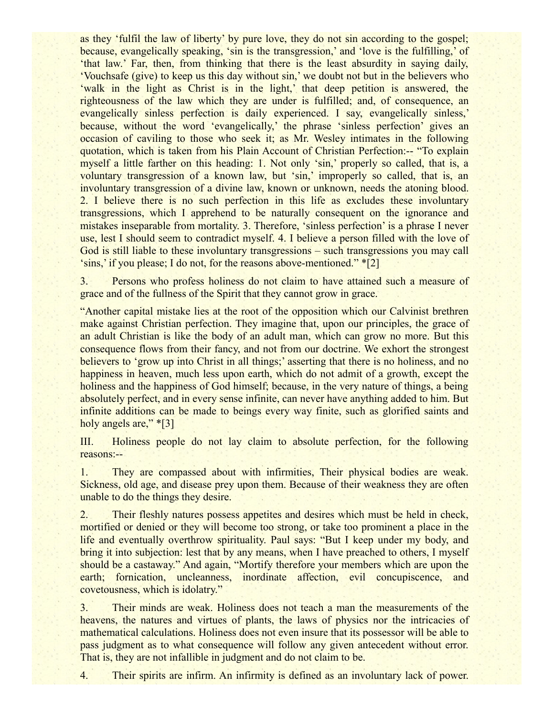as they 'fulfil the law of liberty' by pure love, they do not sin according to the gospel; because, evangelically speaking, 'sin is the transgression,' and 'love is the fulfilling,' of 'that law.' Far, then, from thinking that there is the least absurdity in saying daily, 'Vouchsafe (give) to keep us this day without sin,' we doubt not but in the believers who 'walk in the light as Christ is in the light,' that deep petition is answered, the righteousness of the law which they are under is fulfilled; and, of consequence, an evangelically sinless perfection is daily experienced. I say, evangelically sinless,' because, without the word 'evangelically,' the phrase 'sinless perfection' gives an occasion of caviling to those who seek it; as Mr. Wesley intimates in the following quotation, which is taken from his Plain Account of Christian Perfection:-- "To explain myself a little farther on this heading: 1. Not only 'sin,' properly so called, that is, a voluntary transgression of a known law, but 'sin,' improperly so called, that is, an involuntary transgression of a divine law, known or unknown, needs the atoning blood. 2. I believe there is no such perfection in this life as excludes these involuntary transgressions, which I apprehend to be naturally consequent on the ignorance and mistakes inseparable from mortality. 3. Therefore, 'sinless perfection' is a phrase I never use, lest I should seem to contradict myself. 4. I believe a person filled with the love of God is still liable to these involuntary transgressions – such transgressions you may call 'sins,' if you please; I do not, for the reasons above-mentioned." \*[2]

3. Persons who profess holiness do not claim to have attained such a measure of grace and of the fullness of the Spirit that they cannot grow in grace.

"Another capital mistake lies at the root of the opposition which our Calvinist brethren make against Christian perfection. They imagine that, upon our principles, the grace of an adult Christian is like the body of an adult man, which can grow no more. But this consequence flows from their fancy, and not from our doctrine. We exhort the strongest believers to 'grow up into Christ in all things;' asserting that there is no holiness, and no happiness in heaven, much less upon earth, which do not admit of a growth, except the holiness and the happiness of God himself; because, in the very nature of things, a being absolutely perfect, and in every sense infinite, can never have anything added to him. But infinite additions can be made to beings every way finite, such as glorified saints and holy angels are," \*[3]

III. Holiness people do not lay claim to absolute perfection, for the following reasons:--

1. They are compassed about with infirmities, Their physical bodies are weak. Sickness, old age, and disease prey upon them. Because of their weakness they are often unable to do the things they desire.

2. Their fleshly natures possess appetites and desires which must be held in check, mortified or denied or they will become too strong, or take too prominent a place in the life and eventually overthrow spirituality. Paul says: "But I keep under my body, and bring it into subjection: lest that by any means, when I have preached to others, I myself should be a castaway." And again, "Mortify therefore your members which are upon the earth; fornication, uncleanness, inordinate affection, evil concupiscence, and covetousness, which is idolatry."

3. Their minds are weak. Holiness does not teach a man the measurements of the heavens, the natures and virtues of plants, the laws of physics nor the intricacies of mathematical calculations. Holiness does not even insure that its possessor will be able to pass judgment as to what consequence will follow any given antecedent without error. That is, they are not infallible in judgment and do not claim to be.

4. Their spirits are infirm. An infirmity is defined as an involuntary lack of power.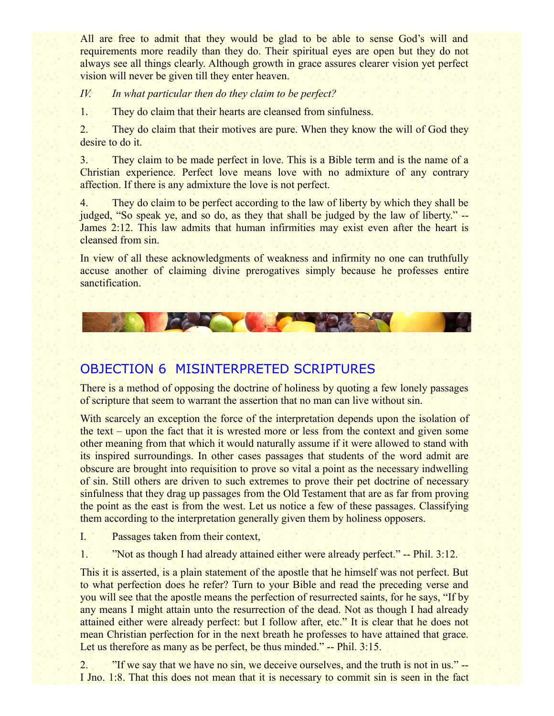All are free to admit that they would be glad to be able to sense God's will and requirements more readily than they do. Their spiritual eyes are open but they do not always see all things clearly. Although growth in grace assures clearer vision yet perfect vision will never be given till they enter heaven.

*IV. In what particular then do they claim to be perfect?*

1. They do claim that their hearts are cleansed from sinfulness.

2. They do claim that their motives are pure. When they know the will of God they desire to do it.

3. They claim to be made perfect in love. This is a Bible term and is the name of a Christian experience. Perfect love means love with no admixture of any contrary affection. If there is any admixture the love is not perfect.

4. They do claim to be perfect according to the law of liberty by which they shall be judged, "So speak ye, and so do, as they that shall be judged by the law of liberty." -- James 2:12. This law admits that human infirmities may exist even after the heart is cleansed from sin.

In view of all these acknowledgments of weakness and infirmity no one can truthfully accuse another of claiming divine prerogatives simply because he professes entire sanctification.



### OBJECTION 6 MISINTERPRETED SCRIPTURES

There is a method of opposing the doctrine of holiness by quoting a few lonely passages of scripture that seem to warrant the assertion that no man can live without sin.

With scarcely an exception the force of the interpretation depends upon the isolation of the text – upon the fact that it is wrested more or less from the context and given some other meaning from that which it would naturally assume if it were allowed to stand with its inspired surroundings. In other cases passages that students of the word admit are obscure are brought into requisition to prove so vital a point as the necessary indwelling of sin. Still others are driven to such extremes to prove their pet doctrine of necessary sinfulness that they drag up passages from the Old Testament that are as far from proving the point as the east is from the west. Let us notice a few of these passages. Classifying them according to the interpretation generally given them by holiness opposers.

- I. Passages taken from their context,
- 1. "Not as though I had already attained either were already perfect." -- Phil. 3:12.

This it is asserted, is a plain statement of the apostle that he himself was not perfect. But to what perfection does he refer? Turn to your Bible and read the preceding verse and you will see that the apostle means the perfection of resurrected saints, for he says, "If by any means I might attain unto the resurrection of the dead. Not as though I had already attained either were already perfect: but I follow after, etc." It is clear that he does not mean Christian perfection for in the next breath he professes to have attained that grace. Let us therefore as many as be perfect, be thus minded." -- Phil. 3:15.

2. "If we say that we have no sin, we deceive ourselves, and the truth is not in us." -- I Jno. 1:8. That this does not mean that it is necessary to commit sin is seen in the fact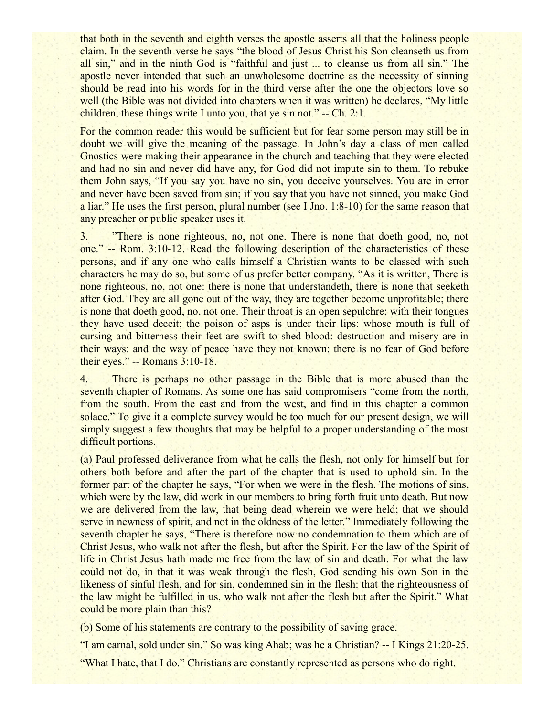that both in the seventh and eighth verses the apostle asserts all that the holiness people claim. In the seventh verse he says "the blood of Jesus Christ his Son cleanseth us from all sin," and in the ninth God is "faithful and just ... to cleanse us from all sin." The apostle never intended that such an unwholesome doctrine as the necessity of sinning should be read into his words for in the third verse after the one the objectors love so well (the Bible was not divided into chapters when it was written) he declares, "My little" children, these things write I unto you, that ye sin not." -- Ch. 2:1.

For the common reader this would be sufficient but for fear some person may still be in doubt we will give the meaning of the passage. In John's day a class of men called Gnostics were making their appearance in the church and teaching that they were elected and had no sin and never did have any, for God did not impute sin to them. To rebuke them John says, "If you say you have no sin, you deceive yourselves. You are in error and never have been saved from sin; if you say that you have not sinned, you make God a liar." He uses the first person, plural number (see I Jno. 1:8-10) for the same reason that any preacher or public speaker uses it.

3. "There is none righteous, no, not one. There is none that doeth good, no, not one." -- Rom. 3:10-12. Read the following description of the characteristics of these persons, and if any one who calls himself a Christian wants to be classed with such characters he may do so, but some of us prefer better company. "As it is written, There is none righteous, no, not one: there is none that understandeth, there is none that seeketh after God. They are all gone out of the way, they are together become unprofitable; there is none that doeth good, no, not one. Their throat is an open sepulchre; with their tongues they have used deceit; the poison of asps is under their lips: whose mouth is full of cursing and bitterness their feet are swift to shed blood: destruction and misery are in their ways: and the way of peace have they not known: there is no fear of God before their eyes." -- Romans 3:10-18.

4. There is perhaps no other passage in the Bible that is more abused than the seventh chapter of Romans. As some one has said compromisers "come from the north, from the south. From the east and from the west, and find in this chapter a common solace." To give it a complete survey would be too much for our present design, we will simply suggest a few thoughts that may be helpful to a proper understanding of the most difficult portions.

(a) Paul professed deliverance from what he calls the flesh, not only for himself but for others both before and after the part of the chapter that is used to uphold sin. In the former part of the chapter he says, "For when we were in the flesh. The motions of sins, which were by the law, did work in our members to bring forth fruit unto death. But now we are delivered from the law, that being dead wherein we were held; that we should serve in newness of spirit, and not in the oldness of the letter." Immediately following the seventh chapter he says, "There is therefore now no condemnation to them which are of Christ Jesus, who walk not after the flesh, but after the Spirit. For the law of the Spirit of life in Christ Jesus hath made me free from the law of sin and death. For what the law could not do, in that it was weak through the flesh, God sending his own Son in the likeness of sinful flesh, and for sin, condemned sin in the flesh: that the righteousness of the law might be fulfilled in us, who walk not after the flesh but after the Spirit." What could be more plain than this?

(b) Some of his statements are contrary to the possibility of saving grace.

"I am carnal, sold under sin." So was king Ahab; was he a Christian? -- I Kings 21:20-25.

"What I hate, that I do." Christians are constantly represented as persons who do right.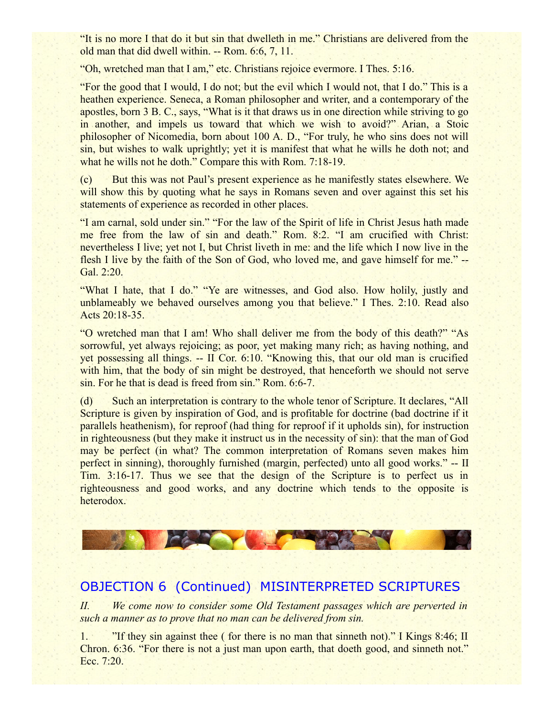"It is no more I that do it but sin that dwelleth in me." Christians are delivered from the old man that did dwell within. -- Rom. 6:6, 7, 11.

"Oh, wretched man that I am," etc. Christians rejoice evermore. I Thes. 5:16.

"For the good that I would, I do not; but the evil which I would not, that I do." This is a heathen experience. Seneca, a Roman philosopher and writer, and a contemporary of the apostles, born 3 B. C., says, "What is it that draws us in one direction while striving to go in another, and impels us toward that which we wish to avoid?" Arian, a Stoic philosopher of Nicomedia, born about 100 A. D., "For truly, he who sins does not will sin, but wishes to walk uprightly; yet it is manifest that what he wills he doth not; and what he wills not he doth." Compare this with Rom. 7:18-19.

(c) But this was not Paul's present experience as he manifestly states elsewhere. We will show this by quoting what he says in Romans seven and over against this set his statements of experience as recorded in other places.

"I am carnal, sold under sin." "For the law of the Spirit of life in Christ Jesus hath made me free from the law of sin and death." Rom. 8:2. "I am crucified with Christ: nevertheless I live; yet not I, but Christ liveth in me: and the life which I now live in the flesh I live by the faith of the Son of God, who loved me, and gave himself for me." -- Gal. 2:20.

"What I hate, that I do." "Ye are witnesses, and God also. How holily, justly and unblameably we behaved ourselves among you that believe." I Thes. 2:10. Read also Acts 20:18-35.

"O wretched man that I am! Who shall deliver me from the body of this death?" "As sorrowful, yet always rejoicing; as poor, yet making many rich; as having nothing, and yet possessing all things. -- II Cor. 6:10. "Knowing this, that our old man is crucified with him, that the body of sin might be destroyed, that henceforth we should not serve sin. For he that is dead is freed from sin." Rom. 6:6-7.

(d) Such an interpretation is contrary to the whole tenor of Scripture. It declares, "All Scripture is given by inspiration of God, and is profitable for doctrine (bad doctrine if it parallels heathenism), for reproof (had thing for reproof if it upholds sin), for instruction in righteousness (but they make it instruct us in the necessity of sin): that the man of God may be perfect (in what? The common interpretation of Romans seven makes him perfect in sinning), thoroughly furnished (margin, perfected) unto all good works." -- II Tim. 3:16-17. Thus we see that the design of the Scripture is to perfect us in righteousness and good works, and any doctrine which tends to the opposite is heterodox.



### OBJECTION 6 (Continued) MISINTERPRETED SCRIPTURES

*II. We come now to consider some Old Testament passages which are perverted in such a manner as to prove that no man can be delivered from sin.*

1. "If they sin against thee ( for there is no man that sinneth not)." I Kings 8:46; II Chron. 6:36. "For there is not a just man upon earth, that doeth good, and sinneth not." Ecc. 7:20.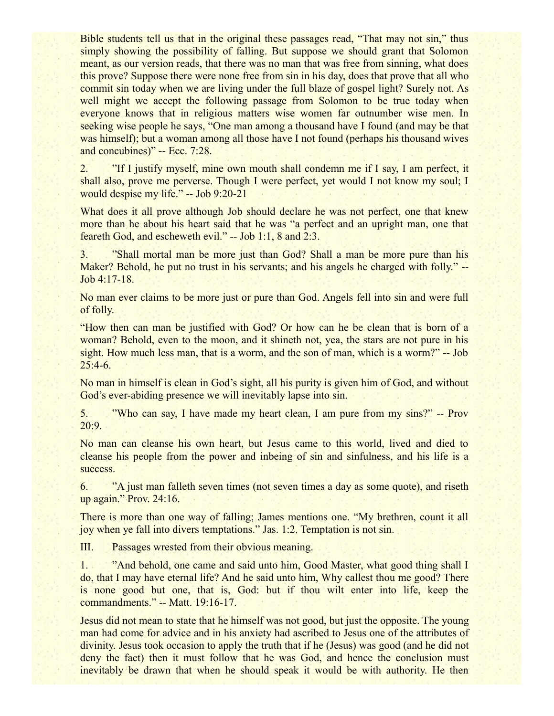Bible students tell us that in the original these passages read, "That may not sin," thus simply showing the possibility of falling. But suppose we should grant that Solomon meant, as our version reads, that there was no man that was free from sinning, what does this prove? Suppose there were none free from sin in his day, does that prove that all who commit sin today when we are living under the full blaze of gospel light? Surely not. As well might we accept the following passage from Solomon to be true today when everyone knows that in religious matters wise women far outnumber wise men. In seeking wise people he says, "One man among a thousand have I found (and may be that was himself); but a woman among all those have I not found (perhaps his thousand wives and concubines)" -- Ecc. 7:28.

2. "If I justify myself, mine own mouth shall condemn me if I say, I am perfect, it shall also, prove me perverse. Though I were perfect, yet would I not know my soul; I would despise my life." -- Job 9:20-21

What does it all prove although Job should declare he was not perfect, one that knew more than he about his heart said that he was "a perfect and an upright man, one that feareth God, and escheweth evil." -- Job 1:1, 8 and 2:3.

3. "Shall mortal man be more just than God? Shall a man be more pure than his Maker? Behold, he put no trust in his servants; and his angels he charged with folly." --Job 4:17-18.

No man ever claims to be more just or pure than God. Angels fell into sin and were full of folly.

"How then can man be justified with God? Or how can he be clean that is born of a woman? Behold, even to the moon, and it shineth not, yea, the stars are not pure in his sight. How much less man, that is a worm, and the son of man, which is a worm?" -- Job  $25:4-6.$ 

No man in himself is clean in God's sight, all his purity is given him of God, and without God's ever-abiding presence we will inevitably lapse into sin.

5. "Who can say, I have made my heart clean, I am pure from my sins?" -- Prov 20:9.

No man can cleanse his own heart, but Jesus came to this world, lived and died to cleanse his people from the power and inbeing of sin and sinfulness, and his life is a success.

6. "A just man falleth seven times (not seven times a day as some quote), and riseth up again." Prov. 24:16.

There is more than one way of falling; James mentions one. "My brethren, count it all joy when ye fall into divers temptations." Jas. 1:2. Temptation is not sin.

III. Passages wrested from their obvious meaning.

1. "And behold, one came and said unto him, Good Master, what good thing shall I do, that I may have eternal life? And he said unto him, Why callest thou me good? There is none good but one, that is, God: but if thou wilt enter into life, keep the commandments." -- Matt. 19:16-17.

Jesus did not mean to state that he himself was not good, but just the opposite. The young man had come for advice and in his anxiety had ascribed to Jesus one of the attributes of divinity. Jesus took occasion to apply the truth that if he (Jesus) was good (and he did not deny the fact) then it must follow that he was God, and hence the conclusion must inevitably be drawn that when he should speak it would be with authority. He then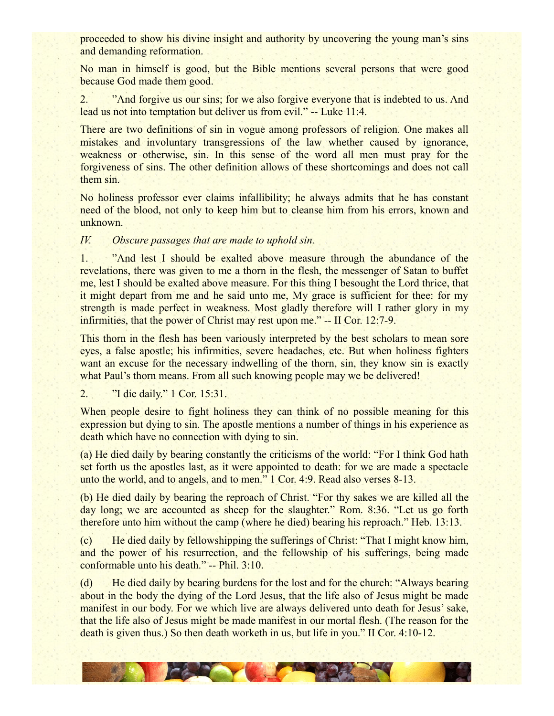proceeded to show his divine insight and authority by uncovering the young man's sins and demanding reformation.

No man in himself is good, but the Bible mentions several persons that were good because God made them good.

2. "And forgive us our sins; for we also forgive everyone that is indebted to us. And lead us not into temptation but deliver us from evil." -- Luke 11:4.

There are two definitions of sin in vogue among professors of religion. One makes all mistakes and involuntary transgressions of the law whether caused by ignorance, weakness or otherwise, sin. In this sense of the word all men must pray for the forgiveness of sins. The other definition allows of these shortcomings and does not call them sin.

No holiness professor ever claims infallibility; he always admits that he has constant need of the blood, not only to keep him but to cleanse him from his errors, known and unknown.

#### *IV. Obscure passages that are made to uphold sin.*

1. "And lest I should be exalted above measure through the abundance of the revelations, there was given to me a thorn in the flesh, the messenger of Satan to buffet me, lest I should be exalted above measure. For this thing I besought the Lord thrice, that it might depart from me and he said unto me, My grace is sufficient for thee: for my strength is made perfect in weakness. Most gladly therefore will I rather glory in my infirmities, that the power of Christ may rest upon me." -- II Cor. 12:7-9.

This thorn in the flesh has been variously interpreted by the best scholars to mean sore eyes, a false apostle; his infirmities, severe headaches, etc. But when holiness fighters want an excuse for the necessary indwelling of the thorn, sin, they know sin is exactly what Paul's thorn means. From all such knowing people may we be delivered!

#### 2. "I die daily." 1 Cor. 15:31.

When people desire to fight holiness they can think of no possible meaning for this expression but dying to sin. The apostle mentions a number of things in his experience as death which have no connection with dying to sin.

(a) He died daily by bearing constantly the criticisms of the world: "For I think God hath set forth us the apostles last, as it were appointed to death: for we are made a spectacle unto the world, and to angels, and to men." 1 Cor. 4:9. Read also verses 8-13.

(b) He died daily by bearing the reproach of Christ. "For thy sakes we are killed all the day long; we are accounted as sheep for the slaughter." Rom. 8:36. "Let us go forth therefore unto him without the camp (where he died) bearing his reproach." Heb. 13:13.

(c) He died daily by fellowshipping the sufferings of Christ: "That I might know him, and the power of his resurrection, and the fellowship of his sufferings, being made conformable unto his death." -- Phil. 3:10.

(d) He died daily by bearing burdens for the lost and for the church: "Always bearing about in the body the dying of the Lord Jesus, that the life also of Jesus might be made manifest in our body. For we which live are always delivered unto death for Jesus' sake, that the life also of Jesus might be made manifest in our mortal flesh. (The reason for the death is given thus.) So then death worketh in us, but life in you." II Cor. 4:10-12.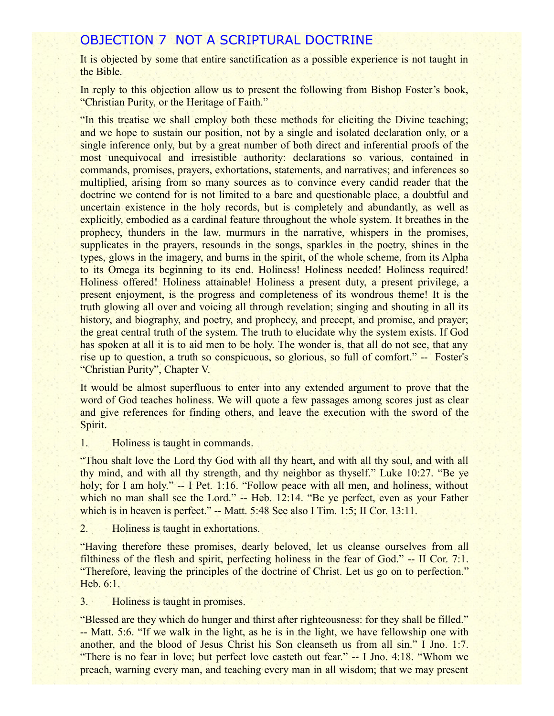### OBJECTION 7 NOT A SCRIPTURAL DOCTRINE

It is objected by some that entire sanctification as a possible experience is not taught in the Bible.

In reply to this objection allow us to present the following from Bishop Foster's book, "Christian Purity, or the Heritage of Faith."

"In this treatise we shall employ both these methods for eliciting the Divine teaching; and we hope to sustain our position, not by a single and isolated declaration only, or a single inference only, but by a great number of both direct and inferential proofs of the most unequivocal and irresistible authority: declarations so various, contained in commands, promises, prayers, exhortations, statements, and narratives; and inferences so multiplied, arising from so many sources as to convince every candid reader that the doctrine we contend for is not limited to a bare and questionable place, a doubtful and uncertain existence in the holy records, but is completely and abundantly, as well as explicitly, embodied as a cardinal feature throughout the whole system. It breathes in the prophecy, thunders in the law, murmurs in the narrative, whispers in the promises, supplicates in the prayers, resounds in the songs, sparkles in the poetry, shines in the types, glows in the imagery, and burns in the spirit, of the whole scheme, from its Alpha to its Omega its beginning to its end. Holiness! Holiness needed! Holiness required! Holiness offered! Holiness attainable! Holiness a present duty, a present privilege, a present enjoyment, is the progress and completeness of its wondrous theme! It is the truth glowing all over and voicing all through revelation; singing and shouting in all its history, and biography, and poetry, and prophecy, and precept, and promise, and prayer; the great central truth of the system. The truth to elucidate why the system exists. If God has spoken at all it is to aid men to be holy. The wonder is, that all do not see, that any rise up to question, a truth so conspicuous, so glorious, so full of comfort." -- Foster's "Christian Purity", Chapter V.

It would be almost superfluous to enter into any extended argument to prove that the word of God teaches holiness. We will quote a few passages among scores just as clear and give references for finding others, and leave the execution with the sword of the Spirit.

1. Holiness is taught in commands.

"Thou shalt love the Lord thy God with all thy heart, and with all thy soul, and with all thy mind, and with all thy strength, and thy neighbor as thyself." Luke 10:27. "Be ye holy; for I am holy." -- I Pet. 1:16. "Follow peace with all men, and holiness, without which no man shall see the Lord." -- Heb. 12:14. "Be ye perfect, even as your Father which is in heaven is perfect." -- Matt. 5:48 See also I Tim. 1:5; II Cor. 13:11.

2. Holiness is taught in exhortations.

"Having therefore these promises, dearly beloved, let us cleanse ourselves from all filthiness of the flesh and spirit, perfecting holiness in the fear of God." -- II Cor. 7:1. "Therefore, leaving the principles of the doctrine of Christ. Let us go on to perfection." Heb. 6:1.

3. Holiness is taught in promises.

"Blessed are they which do hunger and thirst after righteousness: for they shall be filled." -- Matt. 5:6. "If we walk in the light, as he is in the light, we have fellowship one with another, and the blood of Jesus Christ his Son cleanseth us from all sin." I Jno. 1:7. "There is no fear in love; but perfect love casteth out fear." -- I Jno. 4:18. "Whom we preach, warning every man, and teaching every man in all wisdom; that we may present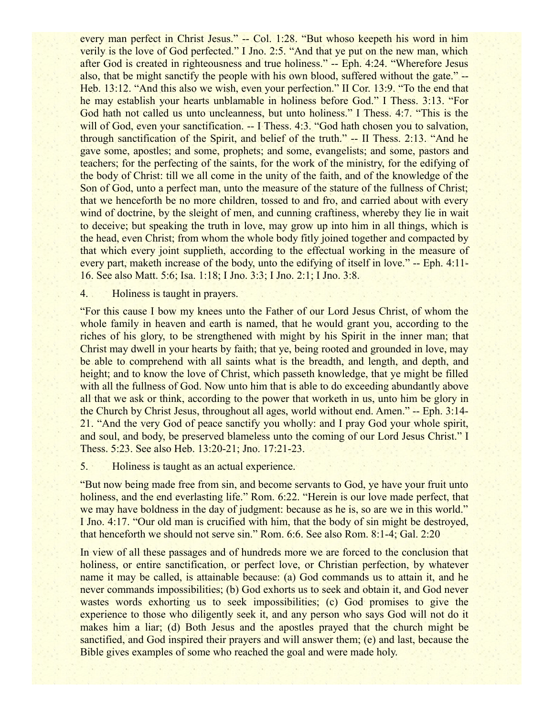every man perfect in Christ Jesus." -- Col. 1:28. "But whoso keepeth his word in him verily is the love of God perfected." I Jno. 2:5. "And that ye put on the new man, which after God is created in righteousness and true holiness." -- Eph. 4:24. "Wherefore Jesus also, that be might sanctify the people with his own blood, suffered without the gate." -- Heb. 13:12. "And this also we wish, even your perfection." II Cor. 13:9. "To the end that he may establish your hearts unblamable in holiness before God." I Thess. 3:13. "For God hath not called us unto uncleanness, but unto holiness." I Thess. 4:7. "This is the will of God, even your sanctification. -- I Thess, 4:3. "God hath chosen you to salvation, through sanctification of the Spirit, and belief of the truth." -- II Thess. 2:13. "And he gave some, apostles; and some, prophets; and some, evangelists; and some, pastors and teachers; for the perfecting of the saints, for the work of the ministry, for the edifying of the body of Christ: till we all come in the unity of the faith, and of the knowledge of the Son of God, unto a perfect man, unto the measure of the stature of the fullness of Christ; that we henceforth be no more children, tossed to and fro, and carried about with every wind of doctrine, by the sleight of men, and cunning craftiness, whereby they lie in wait to deceive; but speaking the truth in love, may grow up into him in all things, which is the head, even Christ; from whom the whole body fitly joined together and compacted by that which every joint supplieth, according to the effectual working in the measure of every part, maketh increase of the body, unto the edifying of itself in love." -- Eph. 4:11- 16. See also Matt. 5:6; Isa. 1:18; I Jno. 3:3; I Jno. 2:1; I Jno. 3:8.

4. Holiness is taught in prayers.

"For this cause I bow my knees unto the Father of our Lord Jesus Christ, of whom the whole family in heaven and earth is named, that he would grant you, according to the riches of his glory, to be strengthened with might by his Spirit in the inner man; that Christ may dwell in your hearts by faith; that ye, being rooted and grounded in love, may be able to comprehend with all saints what is the breadth, and length, and depth, and height; and to know the love of Christ, which passeth knowledge, that ye might be filled with all the fullness of God. Now unto him that is able to do exceeding abundantly above all that we ask or think, according to the power that worketh in us, unto him be glory in the Church by Christ Jesus, throughout all ages, world without end. Amen." -- Eph. 3:14- 21. "And the very God of peace sanctify you wholly: and I pray God your whole spirit, and soul, and body, be preserved blameless unto the coming of our Lord Jesus Christ." I Thess. 5:23. See also Heb. 13:20-21; Jno. 17:21-23.

5. Holiness is taught as an actual experience.

"But now being made free from sin, and become servants to God, ye have your fruit unto holiness, and the end everlasting life." Rom. 6:22. "Herein is our love made perfect, that we may have boldness in the day of judgment: because as he is, so are we in this world." I Jno. 4:17. "Our old man is crucified with him, that the body of sin might be destroyed, that henceforth we should not serve sin." Rom. 6:6. See also Rom. 8:1-4; Gal. 2:20

In view of all these passages and of hundreds more we are forced to the conclusion that holiness, or entire sanctification, or perfect love, or Christian perfection, by whatever name it may be called, is attainable because: (a) God commands us to attain it, and he never commands impossibilities; (b) God exhorts us to seek and obtain it, and God never wastes words exhorting us to seek impossibilities; (c) God promises to give the experience to those who diligently seek it, and any person who says God will not do it makes him a liar; (d) Both Jesus and the apostles prayed that the church might be sanctified, and God inspired their prayers and will answer them; (e) and last, because the Bible gives examples of some who reached the goal and were made holy.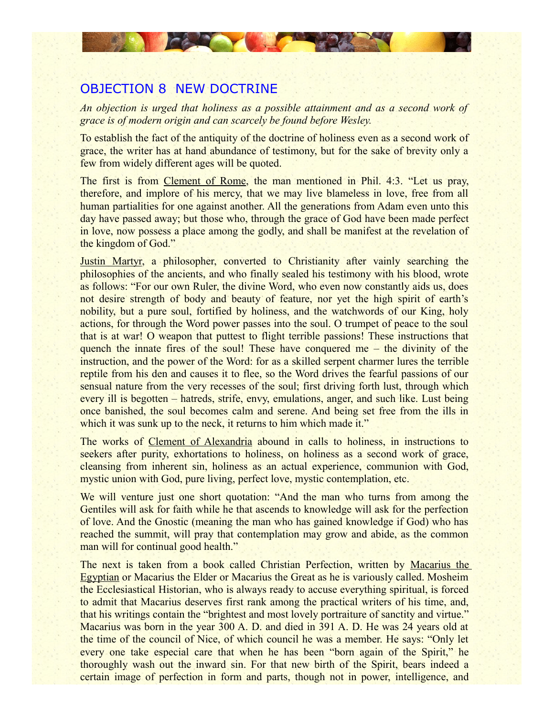### OBJECTION 8 NEW DOCTRINE

*An objection is urged that holiness as a possible attainment and as a second work of grace is of modern origin and can scarcely be found before Wesley.*

To establish the fact of the antiquity of the doctrine of holiness even as a second work of grace, the writer has at hand abundance of testimony, but for the sake of brevity only a few from widely different ages will be quoted.

The first is from Clement of Rome, the man mentioned in Phil. 4:3. "Let us pray, therefore, and implore of his mercy, that we may live blameless in love, free from all human partialities for one against another. All the generations from Adam even unto this day have passed away; but those who, through the grace of God have been made perfect in love, now possess a place among the godly, and shall be manifest at the revelation of the kingdom of God."

Justin Martyr, a philosopher, converted to Christianity after vainly searching the philosophies of the ancients, and who finally sealed his testimony with his blood, wrote as follows: "For our own Ruler, the divine Word, who even now constantly aids us, does not desire strength of body and beauty of feature, nor yet the high spirit of earth's nobility, but a pure soul, fortified by holiness, and the watchwords of our King, holy actions, for through the Word power passes into the soul. O trumpet of peace to the soul that is at war! O weapon that puttest to flight terrible passions! These instructions that quench the innate fires of the soul! These have conquered me – the divinity of the instruction, and the power of the Word: for as a skilled serpent charmer lures the terrible reptile from his den and causes it to flee, so the Word drives the fearful passions of our sensual nature from the very recesses of the soul; first driving forth lust, through which every ill is begotten – hatreds, strife, envy, emulations, anger, and such like. Lust being once banished, the soul becomes calm and serene. And being set free from the ills in which it was sunk up to the neck, it returns to him which made it."

The works of Clement of Alexandria abound in calls to holiness, in instructions to seekers after purity, exhortations to holiness, on holiness as a second work of grace, cleansing from inherent sin, holiness as an actual experience, communion with God, mystic union with God, pure living, perfect love, mystic contemplation, etc.

We will venture just one short quotation: "And the man who turns from among the Gentiles will ask for faith while he that ascends to knowledge will ask for the perfection of love. And the Gnostic (meaning the man who has gained knowledge if God) who has reached the summit, will pray that contemplation may grow and abide, as the common man will for continual good health."

The next is taken from a book called Christian Perfection, written by Macarius the Egyptian or Macarius the Elder or Macarius the Great as he is variously called. Mosheim the Ecclesiastical Historian, who is always ready to accuse everything spiritual, is forced to admit that Macarius deserves first rank among the practical writers of his time, and, that his writings contain the "brightest and most lovely portraiture of sanctity and virtue." Macarius was born in the year 300 A. D. and died in 391 A. D. He was 24 years old at the time of the council of Nice, of which council he was a member. He says: "Only let every one take especial care that when he has been "born again of the Spirit," he thoroughly wash out the inward sin. For that new birth of the Spirit, bears indeed a certain image of perfection in form and parts, though not in power, intelligence, and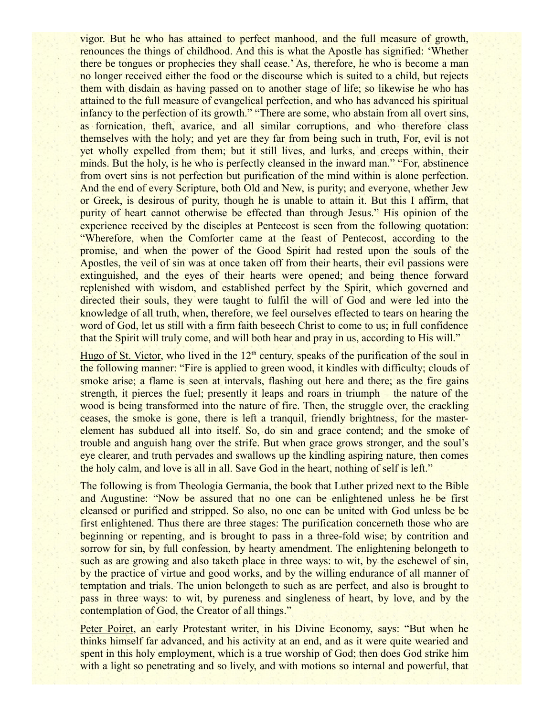vigor. But he who has attained to perfect manhood, and the full measure of growth, renounces the things of childhood. And this is what the Apostle has signified: 'Whether there be tongues or prophecies they shall cease.' As, therefore, he who is become a man no longer received either the food or the discourse which is suited to a child, but rejects them with disdain as having passed on to another stage of life; so likewise he who has attained to the full measure of evangelical perfection, and who has advanced his spiritual infancy to the perfection of its growth." "There are some, who abstain from all overt sins, as fornication, theft, avarice, and all similar corruptions, and who therefore class themselves with the holy; and yet are they far from being such in truth, For, evil is not yet wholly expelled from them; but it still lives, and lurks, and creeps within, their minds. But the holy, is he who is perfectly cleansed in the inward man." "For, abstinence from overt sins is not perfection but purification of the mind within is alone perfection. And the end of every Scripture, both Old and New, is purity; and everyone, whether Jew or Greek, is desirous of purity, though he is unable to attain it. But this I affirm, that purity of heart cannot otherwise be effected than through Jesus." His opinion of the experience received by the disciples at Pentecost is seen from the following quotation: "Wherefore, when the Comforter came at the feast of Pentecost, according to the promise, and when the power of the Good Spirit had rested upon the souls of the Apostles, the veil of sin was at once taken off from their hearts, their evil passions were extinguished, and the eyes of their hearts were opened; and being thence forward replenished with wisdom, and established perfect by the Spirit, which governed and directed their souls, they were taught to fulfil the will of God and were led into the knowledge of all truth, when, therefore, we feel ourselves effected to tears on hearing the word of God, let us still with a firm faith beseech Christ to come to us; in full confidence that the Spirit will truly come, and will both hear and pray in us, according to His will."

Hugo of St. Victor, who lived in the  $12<sup>th</sup>$  century, speaks of the purification of the soul in the following manner: "Fire is applied to green wood, it kindles with difficulty; clouds of smoke arise; a flame is seen at intervals, flashing out here and there; as the fire gains strength, it pierces the fuel; presently it leaps and roars in triumph – the nature of the wood is being transformed into the nature of fire. Then, the struggle over, the crackling ceases, the smoke is gone, there is left a tranquil, friendly brightness, for the masterelement has subdued all into itself. So, do sin and grace contend; and the smoke of trouble and anguish hang over the strife. But when grace grows stronger, and the soul's eye clearer, and truth pervades and swallows up the kindling aspiring nature, then comes the holy calm, and love is all in all. Save God in the heart, nothing of self is left."

The following is from Theologia Germania, the book that Luther prized next to the Bible and Augustine: "Now be assured that no one can be enlightened unless he be first cleansed or purified and stripped. So also, no one can be united with God unless be be first enlightened. Thus there are three stages: The purification concerneth those who are beginning or repenting, and is brought to pass in a three-fold wise; by contrition and sorrow for sin, by full confession, by hearty amendment. The enlightening belongeth to such as are growing and also taketh place in three ways: to wit, by the eschewel of sin, by the practice of virtue and good works, and by the willing endurance of all manner of temptation and trials. The union belongeth to such as are perfect, and also is brought to pass in three ways: to wit, by pureness and singleness of heart, by love, and by the contemplation of God, the Creator of all things."

Peter Poiret, an early Protestant writer, in his Divine Economy, says: "But when he thinks himself far advanced, and his activity at an end, and as it were quite wearied and spent in this holy employment, which is a true worship of God; then does God strike him with a light so penetrating and so lively, and with motions so internal and powerful, that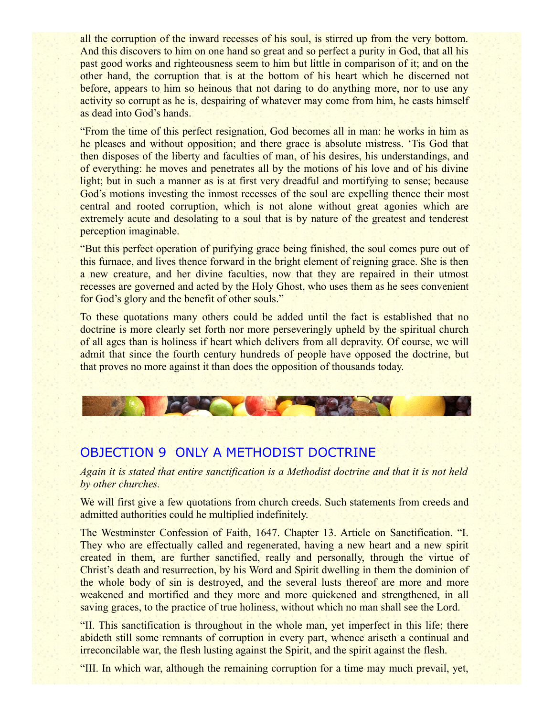all the corruption of the inward recesses of his soul, is stirred up from the very bottom. And this discovers to him on one hand so great and so perfect a purity in God, that all his past good works and righteousness seem to him but little in comparison of it; and on the other hand, the corruption that is at the bottom of his heart which he discerned not before, appears to him so heinous that not daring to do anything more, nor to use any activity so corrupt as he is, despairing of whatever may come from him, he casts himself as dead into God's hands.

"From the time of this perfect resignation, God becomes all in man: he works in him as he pleases and without opposition; and there grace is absolute mistress. 'Tis God that then disposes of the liberty and faculties of man, of his desires, his understandings, and of everything: he moves and penetrates all by the motions of his love and of his divine light; but in such a manner as is at first very dreadful and mortifying to sense; because God's motions investing the inmost recesses of the soul are expelling thence their most central and rooted corruption, which is not alone without great agonies which are extremely acute and desolating to a soul that is by nature of the greatest and tenderest perception imaginable.

"But this perfect operation of purifying grace being finished, the soul comes pure out of this furnace, and lives thence forward in the bright element of reigning grace. She is then a new creature, and her divine faculties, now that they are repaired in their utmost recesses are governed and acted by the Holy Ghost, who uses them as he sees convenient for God's glory and the benefit of other souls."

To these quotations many others could be added until the fact is established that no doctrine is more clearly set forth nor more perseveringly upheld by the spiritual church of all ages than is holiness if heart which delivers from all depravity. Of course, we will admit that since the fourth century hundreds of people have opposed the doctrine, but that proves no more against it than does the opposition of thousands today.



### OBJECTION 9 ONLY A METHODIST DOCTRINE

*Again it is stated that entire sanctification is a Methodist doctrine and that it is not held by other churches.*

We will first give a few quotations from church creeds. Such statements from creeds and admitted authorities could he multiplied indefinitely.

The Westminster Confession of Faith, 1647. Chapter 13. Article on Sanctification. "I. They who are effectually called and regenerated, having a new heart and a new spirit created in them, are further sanctified, really and personally, through the virtue of Christ's death and resurrection, by his Word and Spirit dwelling in them the dominion of the whole body of sin is destroyed, and the several lusts thereof are more and more weakened and mortified and they more and more quickened and strengthened, in all saving graces, to the practice of true holiness, without which no man shall see the Lord.

"II. This sanctification is throughout in the whole man, yet imperfect in this life; there abideth still some remnants of corruption in every part, whence ariseth a continual and irreconcilable war, the flesh lusting against the Spirit, and the spirit against the flesh.

"III. In which war, although the remaining corruption for a time may much prevail, yet,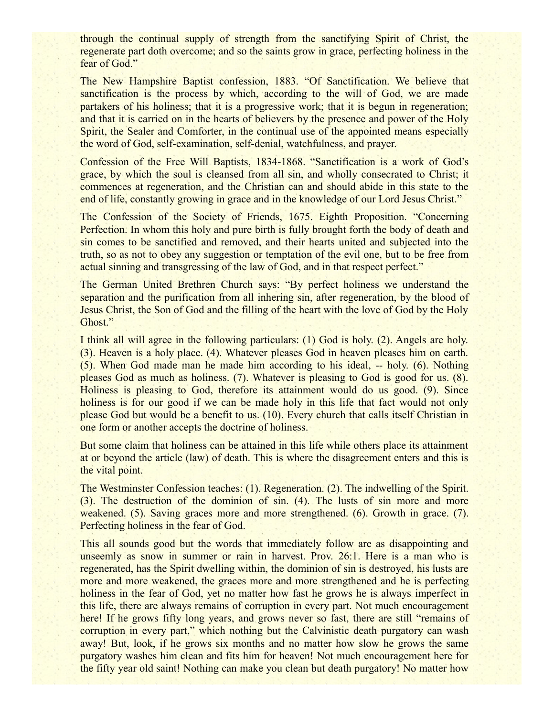through the continual supply of strength from the sanctifying Spirit of Christ, the regenerate part doth overcome; and so the saints grow in grace, perfecting holiness in the fear of God."

The New Hampshire Baptist confession, 1883. "Of Sanctification. We believe that sanctification is the process by which, according to the will of God, we are made partakers of his holiness; that it is a progressive work; that it is begun in regeneration; and that it is carried on in the hearts of believers by the presence and power of the Holy Spirit, the Sealer and Comforter, in the continual use of the appointed means especially the word of God, self-examination, self-denial, watchfulness, and prayer.

Confession of the Free Will Baptists, 1834-1868. "Sanctification is a work of God's grace, by which the soul is cleansed from all sin, and wholly consecrated to Christ; it commences at regeneration, and the Christian can and should abide in this state to the end of life, constantly growing in grace and in the knowledge of our Lord Jesus Christ."

The Confession of the Society of Friends, 1675. Eighth Proposition. "Concerning Perfection. In whom this holy and pure birth is fully brought forth the body of death and sin comes to be sanctified and removed, and their hearts united and subjected into the truth, so as not to obey any suggestion or temptation of the evil one, but to be free from actual sinning and transgressing of the law of God, and in that respect perfect."

The German United Brethren Church says: "By perfect holiness we understand the separation and the purification from all inhering sin, after regeneration, by the blood of Jesus Christ, the Son of God and the filling of the heart with the love of God by the Holy Ghost."

I think all will agree in the following particulars: (1) God is holy. (2). Angels are holy. (3). Heaven is a holy place. (4). Whatever pleases God in heaven pleases him on earth. (5). When God made man he made him according to his ideal, -- holy. (6). Nothing pleases God as much as holiness. (7). Whatever is pleasing to God is good for us. (8). Holiness is pleasing to God, therefore its attainment would do us good. (9). Since holiness is for our good if we can be made holy in this life that fact would not only please God but would be a benefit to us. (10). Every church that calls itself Christian in one form or another accepts the doctrine of holiness.

But some claim that holiness can be attained in this life while others place its attainment at or beyond the article (law) of death. This is where the disagreement enters and this is the vital point.

The Westminster Confession teaches: (1). Regeneration. (2). The indwelling of the Spirit. (3). The destruction of the dominion of sin. (4). The lusts of sin more and more weakened. (5). Saving graces more and more strengthened. (6). Growth in grace. (7). Perfecting holiness in the fear of God.

This all sounds good but the words that immediately follow are as disappointing and unseemly as snow in summer or rain in harvest. Prov. 26:1. Here is a man who is regenerated, has the Spirit dwelling within, the dominion of sin is destroyed, his lusts are more and more weakened, the graces more and more strengthened and he is perfecting holiness in the fear of God, yet no matter how fast he grows he is always imperfect in this life, there are always remains of corruption in every part. Not much encouragement here! If he grows fifty long years, and grows never so fast, there are still "remains of corruption in every part," which nothing but the Calvinistic death purgatory can wash away! But, look, if he grows six months and no matter how slow he grows the same purgatory washes him clean and fits him for heaven! Not much encouragement here for the fifty year old saint! Nothing can make you clean but death purgatory! No matter how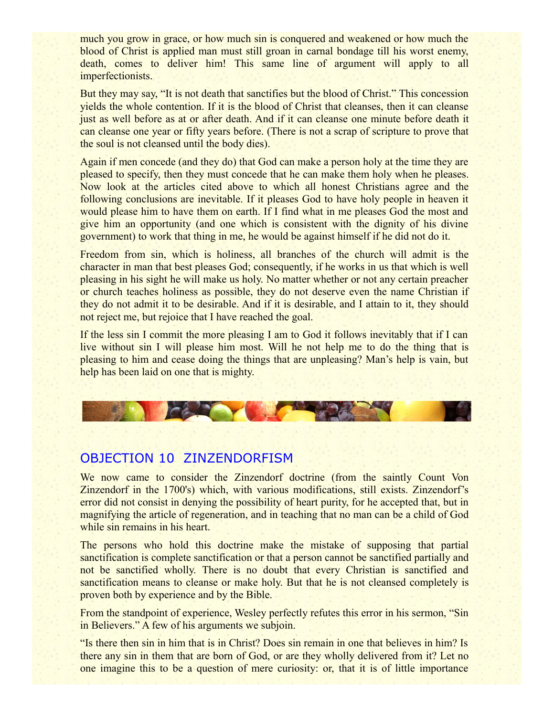much you grow in grace, or how much sin is conquered and weakened or how much the blood of Christ is applied man must still groan in carnal bondage till his worst enemy, death, comes to deliver him! This same line of argument will apply to all imperfectionists.

But they may say, "It is not death that sanctifies but the blood of Christ." This concession yields the whole contention. If it is the blood of Christ that cleanses, then it can cleanse just as well before as at or after death. And if it can cleanse one minute before death it can cleanse one year or fifty years before. (There is not a scrap of scripture to prove that the soul is not cleansed until the body dies).

Again if men concede (and they do) that God can make a person holy at the time they are pleased to specify, then they must concede that he can make them holy when he pleases. Now look at the articles cited above to which all honest Christians agree and the following conclusions are inevitable. If it pleases God to have holy people in heaven it would please him to have them on earth. If I find what in me pleases God the most and give him an opportunity (and one which is consistent with the dignity of his divine government) to work that thing in me, he would be against himself if he did not do it.

Freedom from sin, which is holiness, all branches of the church will admit is the character in man that best pleases God; consequently, if he works in us that which is well pleasing in his sight he will make us holy. No matter whether or not any certain preacher or church teaches holiness as possible, they do not deserve even the name Christian if they do not admit it to be desirable. And if it is desirable, and I attain to it, they should not reject me, but rejoice that I have reached the goal.

If the less sin I commit the more pleasing I am to God it follows inevitably that if I can live without sin I will please him most. Will he not help me to do the thing that is pleasing to him and cease doing the things that are unpleasing? Man's help is vain, but help has been laid on one that is mighty.



### OBJECTION 10 ZINZENDORFISM

We now came to consider the Zinzendorf doctrine (from the saintly Count Von Zinzendorf in the 1700's) which, with various modifications, still exists. Zinzendorf's error did not consist in denying the possibility of heart purity, for he accepted that, but in magnifying the article of regeneration, and in teaching that no man can be a child of God while sin remains in his heart.

The persons who hold this doctrine make the mistake of supposing that partial sanctification is complete sanctification or that a person cannot be sanctified partially and not be sanctified wholly. There is no doubt that every Christian is sanctified and sanctification means to cleanse or make holy. But that he is not cleansed completely is proven both by experience and by the Bible.

From the standpoint of experience, Wesley perfectly refutes this error in his sermon, "Sin in Believers." A few of his arguments we subjoin.

"Is there then sin in him that is in Christ? Does sin remain in one that believes in him? Is there any sin in them that are born of God, or are they wholly delivered from it? Let no one imagine this to be a question of mere curiosity: or, that it is of little importance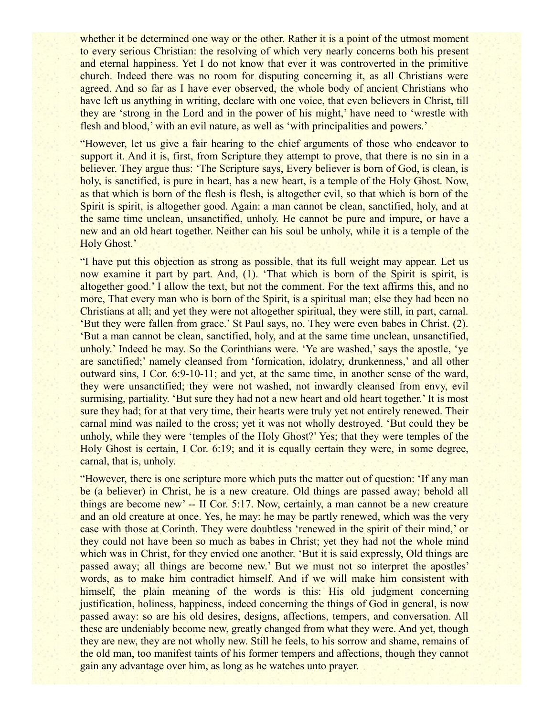whether it be determined one way or the other. Rather it is a point of the utmost moment to every serious Christian: the resolving of which very nearly concerns both his present and eternal happiness. Yet I do not know that ever it was controverted in the primitive church. Indeed there was no room for disputing concerning it, as all Christians were agreed. And so far as I have ever observed, the whole body of ancient Christians who have left us anything in writing, declare with one voice, that even believers in Christ, till they are 'strong in the Lord and in the power of his might,' have need to 'wrestle with flesh and blood,' with an evil nature, as well as 'with principalities and powers.'

"However, let us give a fair hearing to the chief arguments of those who endeavor to support it. And it is, first, from Scripture they attempt to prove, that there is no sin in a believer. They argue thus: 'The Scripture says, Every believer is born of God, is clean, is holy, is sanctified, is pure in heart, has a new heart, is a temple of the Holy Ghost. Now, as that which is born of the flesh is flesh, is altogether evil, so that which is born of the Spirit is spirit, is altogether good. Again: a man cannot be clean, sanctified, holy, and at the same time unclean, unsanctified, unholy. He cannot be pure and impure, or have a new and an old heart together. Neither can his soul be unholy, while it is a temple of the Holy Ghost.'

"I have put this objection as strong as possible, that its full weight may appear. Let us now examine it part by part. And, (1). 'That which is born of the Spirit is spirit, is altogether good.' I allow the text, but not the comment. For the text affirms this, and no more, That every man who is born of the Spirit, is a spiritual man; else they had been no Christians at all; and yet they were not altogether spiritual, they were still, in part, carnal. 'But they were fallen from grace.' St Paul says, no. They were even babes in Christ. (2). 'But a man cannot be clean, sanctified, holy, and at the same time unclean, unsanctified, unholy.' Indeed he may. So the Corinthians were. 'Ye are washed,' says the apostle, 'ye are sanctified;' namely cleansed from 'fornication, idolatry, drunkenness,' and all other outward sins, I Cor. 6:9-10-11; and yet, at the same time, in another sense of the ward, they were unsanctified; they were not washed, not inwardly cleansed from envy, evil surmising, partiality. 'But sure they had not a new heart and old heart together.' It is most sure they had; for at that very time, their hearts were truly yet not entirely renewed. Their carnal mind was nailed to the cross; yet it was not wholly destroyed. 'But could they be unholy, while they were 'temples of the Holy Ghost?' Yes; that they were temples of the Holy Ghost is certain, I Cor. 6:19; and it is equally certain they were, in some degree, carnal, that is, unholy.

"However, there is one scripture more which puts the matter out of question: 'If any man be (a believer) in Christ, he is a new creature. Old things are passed away; behold all things are become new' -- II Cor. 5:17. Now, certainly, a man cannot be a new creature and an old creature at once. Yes, he may: he may be partly renewed, which was the very case with those at Corinth. They were doubtless 'renewed in the spirit of their mind,' or they could not have been so much as babes in Christ; yet they had not the whole mind which was in Christ, for they envied one another. 'But it is said expressly, Old things are passed away; all things are become new.' But we must not so interpret the apostles' words, as to make him contradict himself. And if we will make him consistent with himself, the plain meaning of the words is this: His old judgment concerning justification, holiness, happiness, indeed concerning the things of God in general, is now passed away: so are his old desires, designs, affections, tempers, and conversation. All these are undeniably become new, greatly changed from what they were. And yet, though they are new, they are not wholly new. Still he feels, to his sorrow and shame, remains of the old man, too manifest taints of his former tempers and affections, though they cannot gain any advantage over him, as long as he watches unto prayer.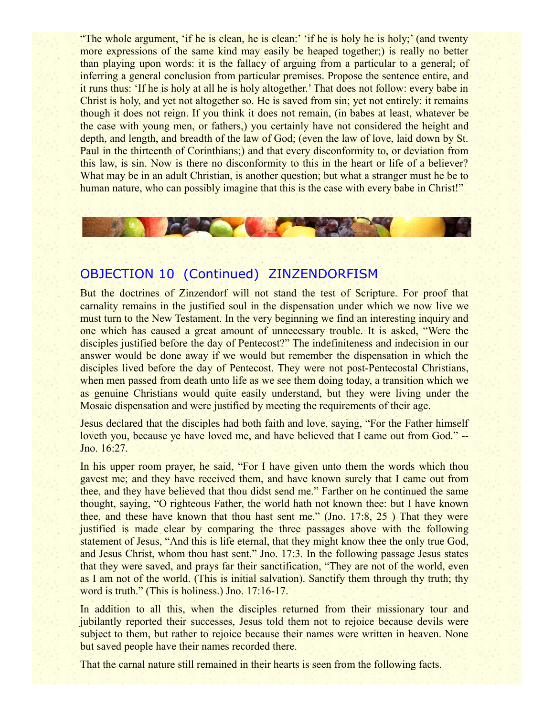"The whole argument, 'if he is clean, he is clean:' 'if he is holy he is holy;' (and twenty more expressions of the same kind may easily be heaped together;) is really no better than playing upon words: it is the fallacy of arguing from a particular to a general; of inferring a general conclusion from particular premises. Propose the sentence entire, and it runs thus: 'If he is holy at all he is holy altogether.' That does not follow: every babe in Christ is holy, and yet not altogether so. He is saved from sin; yet not entirely: it remains though it does not reign. If you think it does not remain, (in babes at least, whatever be the case with young men, or fathers,) you certainly have not considered the height and depth, and length, and breadth of the law of God; (even the law of love, laid down by St. Paul in the thirteenth of Corinthians;) and that every disconformity to, or deviation from this law, is sin. Now is there no disconformity to this in the heart or life of a believer? What may be in an adult Christian, is another question; but what a stranger must he be to human nature, who can possibly imagine that this is the case with every babe in Christ!"



### OBJECTION 10 (Continued) ZINZENDORFISM

But the doctrines of Zinzendorf will not stand the test of Scripture. For proof that carnality remains in the justified soul in the dispensation under which we now live we must turn to the New Testament. In the very beginning we find an interesting inquiry and one which has caused a great amount of unnecessary trouble. It is asked, "Were the disciples justified before the day of Pentecost?" The indefiniteness and indecision in our answer would be done away if we would but remember the dispensation in which the disciples lived before the day of Pentecost. They were not post-Pentecostal Christians, when men passed from death unto life as we see them doing today, a transition which we as genuine Christians would quite easily understand, but they were living under the Mosaic dispensation and were justified by meeting the requirements of their age.

Jesus declared that the disciples had both faith and love, saying, "For the Father himself loveth you, because ye have loved me, and have believed that I came out from God." -- Jno. 16:27.

In his upper room prayer, he said, "For I have given unto them the words which thou gavest me; and they have received them, and have known surely that I came out from thee, and they have believed that thou didst send me." Farther on he continued the same thought, saying, "O righteous Father, the world hath not known thee: but I have known thee, and these have known that thou hast sent me." (Jno. 17:8, 25 ) That they were justified is made clear by comparing the three passages above with the following statement of Jesus, "And this is life eternal, that they might know thee the only true God, and Jesus Christ, whom thou hast sent." Jno. 17:3. In the following passage Jesus states that they were saved, and prays far their sanctification, "They are not of the world, even as I am not of the world. (This is initial salvation). Sanctify them through thy truth; thy word is truth." (This is holiness.) Jno. 17:16-17.

In addition to all this, when the disciples returned from their missionary tour and jubilantly reported their successes, Jesus told them not to rejoice because devils were subject to them, but rather to rejoice because their names were written in heaven. None but saved people have their names recorded there.

That the carnal nature still remained in their hearts is seen from the following facts.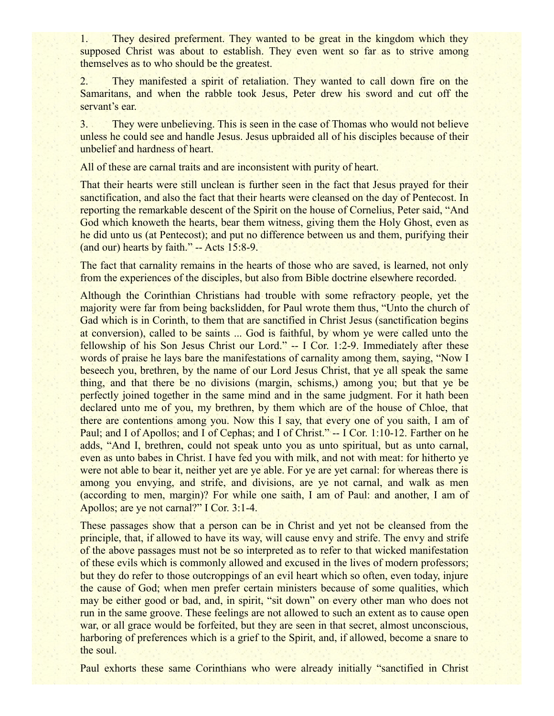1. They desired preferment. They wanted to be great in the kingdom which they supposed Christ was about to establish. They even went so far as to strive among themselves as to who should be the greatest.

2. They manifested a spirit of retaliation. They wanted to call down fire on the Samaritans, and when the rabble took Jesus, Peter drew his sword and cut off the servant's ear.

3. They were unbelieving. This is seen in the case of Thomas who would not believe unless he could see and handle Jesus. Jesus upbraided all of his disciples because of their unbelief and hardness of heart.

All of these are carnal traits and are inconsistent with purity of heart.

That their hearts were still unclean is further seen in the fact that Jesus prayed for their sanctification, and also the fact that their hearts were cleansed on the day of Pentecost. In reporting the remarkable descent of the Spirit on the house of Cornelius, Peter said, "And God which knoweth the hearts, bear them witness, giving them the Holy Ghost, even as he did unto us (at Pentecost); and put no difference between us and them, purifying their (and our) hearts by faith." -- Acts 15:8-9.

The fact that carnality remains in the hearts of those who are saved, is learned, not only from the experiences of the disciples, but also from Bible doctrine elsewhere recorded.

Although the Corinthian Christians had trouble with some refractory people, yet the majority were far from being backslidden, for Paul wrote them thus, "Unto the church of Gad which is in Corinth, to them that are sanctified in Christ Jesus (sanctification begins at conversion), called to be saints ... God is faithful, by whom ye were called unto the fellowship of his Son Jesus Christ our Lord." -- I Cor. 1:2-9. Immediately after these words of praise he lays bare the manifestations of carnality among them, saying, "Now I beseech you, brethren, by the name of our Lord Jesus Christ, that ye all speak the same thing, and that there be no divisions (margin, schisms,) among you; but that ye be perfectly joined together in the same mind and in the same judgment. For it hath been declared unto me of you, my brethren, by them which are of the house of Chloe, that there are contentions among you. Now this I say, that every one of you saith, I am of Paul; and I of Apollos; and I of Cephas; and I of Christ." -- I Cor. 1:10-12. Farther on he adds, "And I, brethren, could not speak unto you as unto spiritual, but as unto carnal, even as unto babes in Christ. I have fed you with milk, and not with meat: for hitherto ye were not able to bear it, neither yet are ye able. For ye are yet carnal: for whereas there is among you envying, and strife, and divisions, are ye not carnal, and walk as men (according to men, margin)? For while one saith, I am of Paul: and another, I am of Apollos; are ye not carnal?" I Cor. 3:1-4.

These passages show that a person can be in Christ and yet not be cleansed from the principle, that, if allowed to have its way, will cause envy and strife. The envy and strife of the above passages must not be so interpreted as to refer to that wicked manifestation of these evils which is commonly allowed and excused in the lives of modern professors; but they do refer to those outcroppings of an evil heart which so often, even today, injure the cause of God; when men prefer certain ministers because of some qualities, which may be either good or bad, and, in spirit, "sit down" on every other man who does not run in the same groove. These feelings are not allowed to such an extent as to cause open war, or all grace would be forfeited, but they are seen in that secret, almost unconscious, harboring of preferences which is a grief to the Spirit, and, if allowed, become a snare to the soul.

Paul exhorts these same Corinthians who were already initially "sanctified in Christ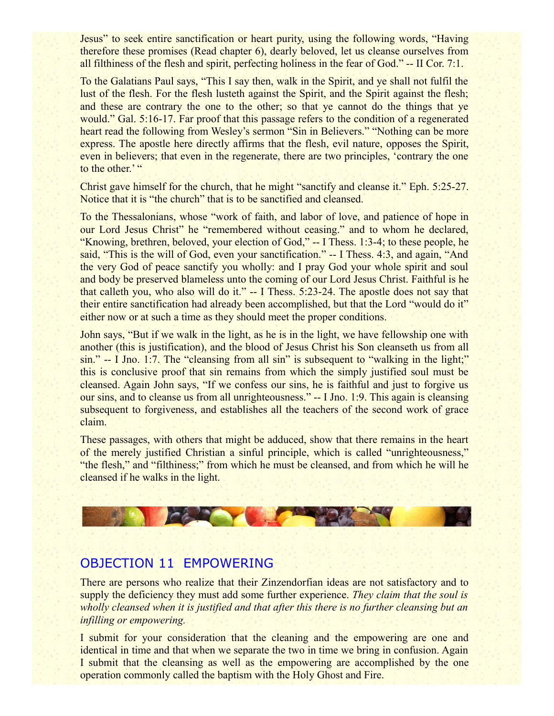Jesus" to seek entire sanctification or heart purity, using the following words, "Having therefore these promises (Read chapter 6), dearly beloved, let us cleanse ourselves from all filthiness of the flesh and spirit, perfecting holiness in the fear of God." -- II Cor. 7:1.

To the Galatians Paul says, "This I say then, walk in the Spirit, and ye shall not fulfil the lust of the flesh. For the flesh lusteth against the Spirit, and the Spirit against the flesh; and these are contrary the one to the other; so that ye cannot do the things that ye would." Gal. 5:16-17. Far proof that this passage refers to the condition of a regenerated heart read the following from Wesley's sermon "Sin in Believers." "Nothing can be more express. The apostle here directly affirms that the flesh, evil nature, opposes the Spirit, even in believers; that even in the regenerate, there are two principles, 'contrary the one to the other.'"

Christ gave himself for the church, that he might "sanctify and cleanse it." Eph. 5:25-27. Notice that it is "the church" that is to be sanctified and cleansed.

To the Thessalonians, whose "work of faith, and labor of love, and patience of hope in our Lord Jesus Christ" he "remembered without ceasing." and to whom he declared, "Knowing, brethren, beloved, your election of God," -- I Thess. 1:3-4; to these people, he said, "This is the will of God, even your sanctification." -- I Thess. 4:3, and again, "And the very God of peace sanctify you wholly: and I pray God your whole spirit and soul and body be preserved blameless unto the coming of our Lord Jesus Christ. Faithful is he that calleth you, who also will do it." -- I Thess. 5:23-24. The apostle does not say that their entire sanctification had already been accomplished, but that the Lord "would do it" either now or at such a time as they should meet the proper conditions.

John says, "But if we walk in the light, as he is in the light, we have fellowship one with another (this is justification), and the blood of Jesus Christ his Son cleanseth us from all  $\sin$ ." -- I Jno. 1:7. The "cleansing from all  $\sin$ " is subsequent to "walking in the light;" this is conclusive proof that sin remains from which the simply justified soul must be cleansed. Again John says, "If we confess our sins, he is faithful and just to forgive us our sins, and to cleanse us from all unrighteousness." -- I Jno. 1:9. This again is cleansing subsequent to forgiveness, and establishes all the teachers of the second work of grace claim.

These passages, with others that might be adduced, show that there remains in the heart of the merely justified Christian a sinful principle, which is called "unrighteousness," "the flesh," and "filthiness;" from which he must be cleansed, and from which he will he cleansed if he walks in the light.



### OBJECTION 11 EMPOWERING

There are persons who realize that their Zinzendorfian ideas are not satisfactory and to supply the deficiency they must add some further experience. *They claim that the soul is wholly cleansed when it is justified and that after this there is no further cleansing but an infilling or empowering.*

I submit for your consideration that the cleaning and the empowering are one and identical in time and that when we separate the two in time we bring in confusion. Again I submit that the cleansing as well as the empowering are accomplished by the one operation commonly called the baptism with the Holy Ghost and Fire.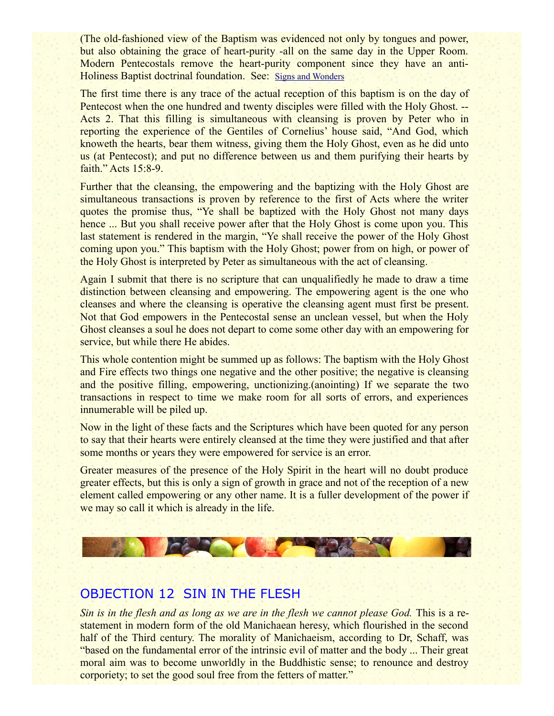(The old-fashioned view of the Baptism was evidenced not only by tongues and power, but also obtaining the grace of heart-purity -all on the same day in the Upper Room. Modern Pentecostals remove the heart-purity component since they have an anti-Holiness Baptist doctrinal foundation. See: [Signs and Wonders](file:///C:/Documents and Settings/Tom/My Documents/MAIN/Charismatic/Signs and Wonders.odt)

The first time there is any trace of the actual reception of this baptism is on the day of Pentecost when the one hundred and twenty disciples were filled with the Holy Ghost. -- Acts 2. That this filling is simultaneous with cleansing is proven by Peter who in reporting the experience of the Gentiles of Cornelius' house said, "And God, which knoweth the hearts, bear them witness, giving them the Holy Ghost, even as he did unto us (at Pentecost); and put no difference between us and them purifying their hearts by faith." Acts 15:8-9.

Further that the cleansing, the empowering and the baptizing with the Holy Ghost are simultaneous transactions is proven by reference to the first of Acts where the writer quotes the promise thus, "Ye shall be baptized with the Holy Ghost not many days hence ... But you shall receive power after that the Holy Ghost is come upon you. This last statement is rendered in the margin, "Ye shall receive the power of the Holy Ghost coming upon you." This baptism with the Holy Ghost; power from on high, or power of the Holy Ghost is interpreted by Peter as simultaneous with the act of cleansing.

Again I submit that there is no scripture that can unqualifiedly he made to draw a time distinction between cleansing and empowering. The empowering agent is the one who cleanses and where the cleansing is operative the cleansing agent must first be present. Not that God empowers in the Pentecostal sense an unclean vessel, but when the Holy Ghost cleanses a soul he does not depart to come some other day with an empowering for service, but while there He abides.

This whole contention might be summed up as follows: The baptism with the Holy Ghost and Fire effects two things one negative and the other positive; the negative is cleansing and the positive filling, empowering, unctionizing.(anointing) If we separate the two transactions in respect to time we make room for all sorts of errors, and experiences innumerable will be piled up.

Now in the light of these facts and the Scriptures which have been quoted for any person to say that their hearts were entirely cleansed at the time they were justified and that after some months or years they were empowered for service is an error.

Greater measures of the presence of the Holy Spirit in the heart will no doubt produce greater effects, but this is only a sign of growth in grace and not of the reception of a new element called empowering or any other name. It is a fuller development of the power if we may so call it which is already in the life.



### OBJECTION 12 SIN IN THE FLESH

*Sin is in the flesh and as long as we are in the flesh we cannot please God.* This is a restatement in modern form of the old Manichaean heresy, which flourished in the second half of the Third century. The morality of Manichaeism, according to Dr, Schaff, was "based on the fundamental error of the intrinsic evil of matter and the body ... Their great moral aim was to become unworldly in the Buddhistic sense; to renounce and destroy corporiety; to set the good soul free from the fetters of matter."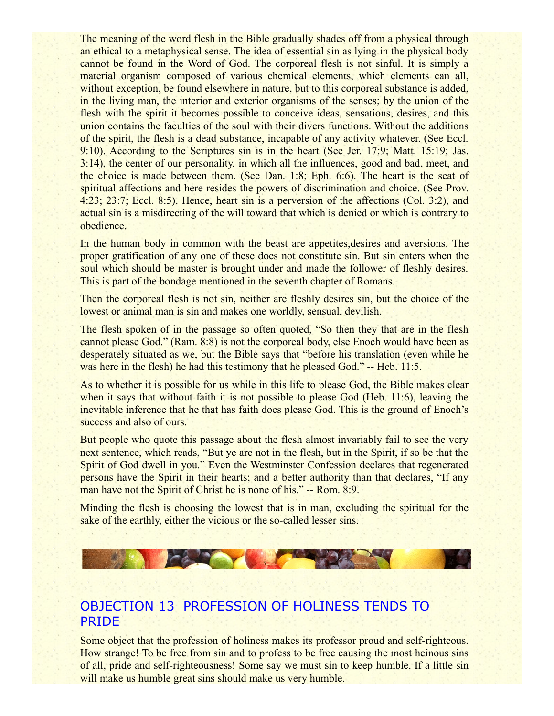The meaning of the word flesh in the Bible gradually shades off from a physical through an ethical to a metaphysical sense. The idea of essential sin as lying in the physical body cannot be found in the Word of God. The corporeal flesh is not sinful. It is simply a material organism composed of various chemical elements, which elements can all, without exception, be found elsewhere in nature, but to this corporeal substance is added, in the living man, the interior and exterior organisms of the senses; by the union of the flesh with the spirit it becomes possible to conceive ideas, sensations, desires, and this union contains the faculties of the soul with their divers functions. Without the additions of the spirit, the flesh is a dead substance, incapable of any activity whatever. (See Eccl. 9:10). According to the Scriptures sin is in the heart (See Jer. 17:9; Matt. 15:19; Jas. 3:14), the center of our personality, in which all the influences, good and bad, meet, and the choice is made between them. (See Dan. 1:8; Eph. 6:6). The heart is the seat of spiritual affections and here resides the powers of discrimination and choice. (See Prov. 4:23; 23:7; Eccl. 8:5). Hence, heart sin is a perversion of the affections (Col. 3:2), and actual sin is a misdirecting of the will toward that which is denied or which is contrary to obedience.

In the human body in common with the beast are appetites, desires and aversions. The proper gratification of any one of these does not constitute sin. But sin enters when the soul which should be master is brought under and made the follower of fleshly desires. This is part of the bondage mentioned in the seventh chapter of Romans.

Then the corporeal flesh is not sin, neither are fleshly desires sin, but the choice of the lowest or animal man is sin and makes one worldly, sensual, devilish.

The flesh spoken of in the passage so often quoted, "So then they that are in the flesh cannot please God." (Ram. 8:8) is not the corporeal body, else Enoch would have been as desperately situated as we, but the Bible says that "before his translation (even while he was here in the flesh) he had this testimony that he pleased God." -- Heb. 11:5.

As to whether it is possible for us while in this life to please God, the Bible makes clear when it says that without faith it is not possible to please God (Heb. 11:6), leaving the inevitable inference that he that has faith does please God. This is the ground of Enoch's success and also of ours.

But people who quote this passage about the flesh almost invariably fail to see the very next sentence, which reads, "But ye are not in the flesh, but in the Spirit, if so be that the Spirit of God dwell in you." Even the Westminster Confession declares that regenerated persons have the Spirit in their hearts; and a better authority than that declares, "If any man have not the Spirit of Christ he is none of his." -- Rom. 8:9.

Minding the flesh is choosing the lowest that is in man, excluding the spiritual for the sake of the earthly, either the vicious or the so-called lesser sins.

# **CART THE CARD AND READY**

### OBJECTION 13 PROFESSION OF HOLINESS TENDS TO PRIDE

Some object that the profession of holiness makes its professor proud and self-righteous. How strange! To be free from sin and to profess to be free causing the most heinous sins of all, pride and self-righteousness! Some say we must sin to keep humble. If a little sin will make us humble great sins should make us very humble.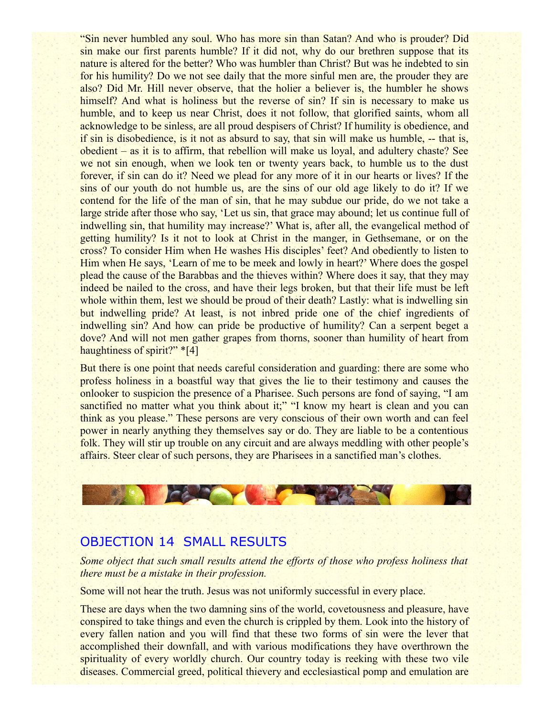"Sin never humbled any soul. Who has more sin than Satan? And who is prouder? Did sin make our first parents humble? If it did not, why do our brethren suppose that its nature is altered for the better? Who was humbler than Christ? But was he indebted to sin for his humility? Do we not see daily that the more sinful men are, the prouder they are also? Did Mr. Hill never observe, that the holier a believer is, the humbler he shows himself? And what is holiness but the reverse of sin? If sin is necessary to make us humble, and to keep us near Christ, does it not follow, that glorified saints, whom all acknowledge to be sinless, are all proud despisers of Christ? If humility is obedience, and if sin is disobedience, is it not as absurd to say, that sin will make us humble, -- that is, obedient – as it is to affirm, that rebellion will make us loyal, and adultery chaste? See we not sin enough, when we look ten or twenty years back, to humble us to the dust forever, if sin can do it? Need we plead for any more of it in our hearts or lives? If the sins of our youth do not humble us, are the sins of our old age likely to do it? If we contend for the life of the man of sin, that he may subdue our pride, do we not take a large stride after those who say, 'Let us sin, that grace may abound; let us continue full of indwelling sin, that humility may increase?' What is, after all, the evangelical method of getting humility? Is it not to look at Christ in the manger, in Gethsemane, or on the cross? To consider Him when He washes His disciples' feet? And obediently to listen to Him when He says, 'Learn of me to be meek and lowly in heart?' Where does the gospel plead the cause of the Barabbas and the thieves within? Where does it say, that they may indeed be nailed to the cross, and have their legs broken, but that their life must be left whole within them, lest we should be proud of their death? Lastly: what is indwelling sin but indwelling pride? At least, is not inbred pride one of the chief ingredients of indwelling sin? And how can pride be productive of humility? Can a serpent beget a dove? And will not men gather grapes from thorns, sooner than humility of heart from haughtiness of spirit?" \*[4]

But there is one point that needs careful consideration and guarding: there are some who profess holiness in a boastful way that gives the lie to their testimony and causes the onlooker to suspicion the presence of a Pharisee. Such persons are fond of saying, "I am sanctified no matter what you think about it;" "I know my heart is clean and you can think as you please." These persons are very conscious of their own worth and can feel power in nearly anything they themselves say or do. They are liable to be a contentious folk. They will stir up trouble on any circuit and are always meddling with other people's affairs. Steer clear of such persons, they are Pharisees in a sanctified man's clothes.



### OBJECTION 14 SMALL RESULTS

*Some object that such small results attend the efforts of those who profess holiness that there must be a mistake in their profession.*

Some will not hear the truth. Jesus was not uniformly successful in every place.

These are days when the two damning sins of the world, covetousness and pleasure, have conspired to take things and even the church is crippled by them. Look into the history of every fallen nation and you will find that these two forms of sin were the lever that accomplished their downfall, and with various modifications they have overthrown the spirituality of every worldly church. Our country today is reeking with these two vile diseases. Commercial greed, political thievery and ecclesiastical pomp and emulation are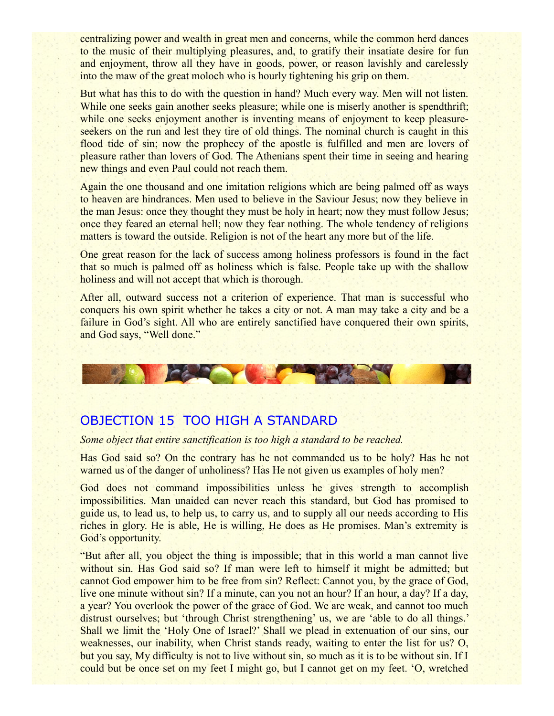centralizing power and wealth in great men and concerns, while the common herd dances to the music of their multiplying pleasures, and, to gratify their insatiate desire for fun and enjoyment, throw all they have in goods, power, or reason lavishly and carelessly into the maw of the great moloch who is hourly tightening his grip on them.

But what has this to do with the question in hand? Much every way. Men will not listen. While one seeks gain another seeks pleasure; while one is miserly another is spendthrift; while one seeks enjoyment another is inventing means of enjoyment to keep pleasureseekers on the run and lest they tire of old things. The nominal church is caught in this flood tide of sin; now the prophecy of the apostle is fulfilled and men are lovers of pleasure rather than lovers of God. The Athenians spent their time in seeing and hearing new things and even Paul could not reach them.

Again the one thousand and one imitation religions which are being palmed off as ways to heaven are hindrances. Men used to believe in the Saviour Jesus; now they believe in the man Jesus: once they thought they must be holy in heart; now they must follow Jesus; once they feared an eternal hell; now they fear nothing. The whole tendency of religions matters is toward the outside. Religion is not of the heart any more but of the life.

One great reason for the lack of success among holiness professors is found in the fact that so much is palmed off as holiness which is false. People take up with the shallow holiness and will not accept that which is thorough.

After all, outward success not a criterion of experience. That man is successful who conquers his own spirit whether he takes a city or not. A man may take a city and be a failure in God's sight. All who are entirely sanctified have conquered their own spirits, and God says, "Well done."



### OBJECTION 15 TOO HIGH A STANDARD

*Some object that entire sanctification is too high a standard to be reached.*

Has God said so? On the contrary has he not commanded us to be holy? Has he not warned us of the danger of unholiness? Has He not given us examples of holy men?

God does not command impossibilities unless he gives strength to accomplish impossibilities. Man unaided can never reach this standard, but God has promised to guide us, to lead us, to help us, to carry us, and to supply all our needs according to His riches in glory. He is able, He is willing, He does as He promises. Man's extremity is God's opportunity.

"But after all, you object the thing is impossible; that in this world a man cannot live without sin. Has God said so? If man were left to himself it might be admitted; but cannot God empower him to be free from sin? Reflect: Cannot you, by the grace of God, live one minute without sin? If a minute, can you not an hour? If an hour, a day? If a day, a year? You overlook the power of the grace of God. We are weak, and cannot too much distrust ourselves; but 'through Christ strengthening' us, we are 'able to do all things.' Shall we limit the 'Holy One of Israel?' Shall we plead in extenuation of our sins, our weaknesses, our inability, when Christ stands ready, waiting to enter the list for us? O, but you say, My difficulty is not to live without sin, so much as it is to be without sin. If I could but be once set on my feet I might go, but I cannot get on my feet. 'O, wretched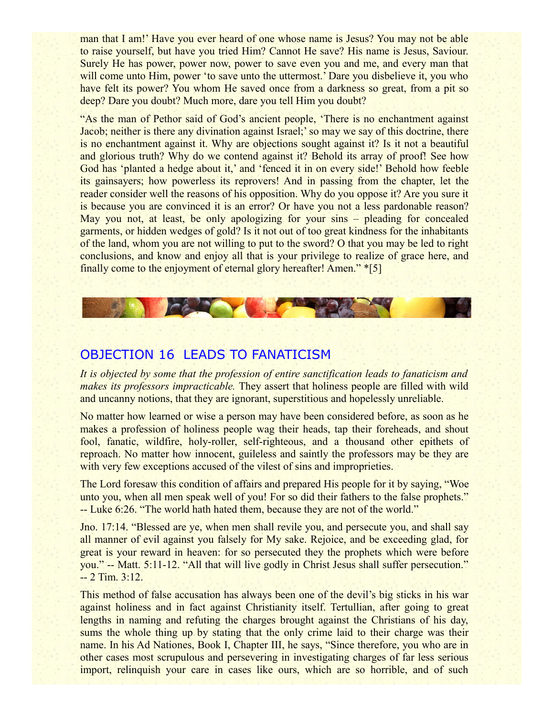man that I am!' Have you ever heard of one whose name is Jesus? You may not be able to raise yourself, but have you tried Him? Cannot He save? His name is Jesus, Saviour. Surely He has power, power now, power to save even you and me, and every man that will come unto Him, power 'to save unto the uttermost.' Dare you disbelieve it, you who have felt its power? You whom He saved once from a darkness so great, from a pit so deep? Dare you doubt? Much more, dare you tell Him you doubt?

"As the man of Pethor said of God's ancient people, 'There is no enchantment against Jacob; neither is there any divination against Israel;' so may we say of this doctrine, there is no enchantment against it. Why are objections sought against it? Is it not a beautiful and glorious truth? Why do we contend against it? Behold its array of proof! See how God has 'planted a hedge about it,' and 'fenced it in on every side!' Behold how feeble its gainsayers; how powerless its reprovers! And in passing from the chapter, let the reader consider well the reasons of his opposition. Why do you oppose it? Are you sure it is because you are convinced it is an error? Or have you not a less pardonable reason? May you not, at least, be only apologizing for your sins – pleading for concealed garments, or hidden wedges of gold? Is it not out of too great kindness for the inhabitants of the land, whom you are not willing to put to the sword? O that you may be led to right conclusions, and know and enjoy all that is your privilege to realize of grace here, and finally come to the enjoyment of eternal glory hereafter! Amen." \*[5]

### OBJECTION 16 LEADS TO FANATICISM

**CAR THE TEST** 

*It is objected by some that the profession of entire sanctification leads to fanaticism and makes its professors impracticable.* They assert that holiness people are filled with wild and uncanny notions, that they are ignorant, superstitious and hopelessly unreliable.

No matter how learned or wise a person may have been considered before, as soon as he makes a profession of holiness people wag their heads, tap their foreheads, and shout fool, fanatic, wildfire, holy-roller, self-righteous, and a thousand other epithets of reproach. No matter how innocent, guileless and saintly the professors may be they are with very few exceptions accused of the vilest of sins and improprieties.

The Lord foresaw this condition of affairs and prepared His people for it by saying, "Woe unto you, when all men speak well of you! For so did their fathers to the false prophets." -- Luke 6:26. "The world hath hated them, because they are not of the world."

Jno. 17:14. "Blessed are ye, when men shall revile you, and persecute you, and shall say all manner of evil against you falsely for My sake. Rejoice, and be exceeding glad, for great is your reward in heaven: for so persecuted they the prophets which were before you." -- Matt. 5:11-12. "All that will live godly in Christ Jesus shall suffer persecution."  $-2$  Tim.  $3:12$ .

This method of false accusation has always been one of the devil's big sticks in his war against holiness and in fact against Christianity itself. Tertullian, after going to great lengths in naming and refuting the charges brought against the Christians of his day, sums the whole thing up by stating that the only crime laid to their charge was their name. In his Ad Nationes, Book I, Chapter III, he says, "Since therefore, you who are in other cases most scrupulous and persevering in investigating charges of far less serious import, relinquish your care in cases like ours, which are so horrible, and of such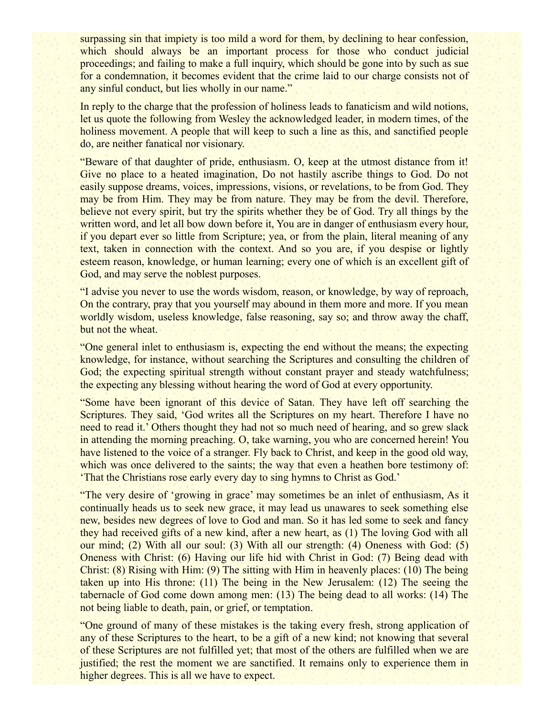surpassing sin that impiety is too mild a word for them, by declining to hear confession, which should always be an important process for those who conduct judicial proceedings; and failing to make a full inquiry, which should be gone into by such as sue for a condemnation, it becomes evident that the crime laid to our charge consists not of any sinful conduct, but lies wholly in our name."

In reply to the charge that the profession of holiness leads to fanaticism and wild notions, let us quote the following from Wesley the acknowledged leader, in modern times, of the holiness movement. A people that will keep to such a line as this, and sanctified people do, are neither fanatical nor visionary.

"Beware of that daughter of pride, enthusiasm. O, keep at the utmost distance from it! Give no place to a heated imagination, Do not hastily ascribe things to God. Do not easily suppose dreams, voices, impressions, visions, or revelations, to be from God. They may be from Him. They may be from nature. They may be from the devil. Therefore, believe not every spirit, but try the spirits whether they be of God. Try all things by the written word, and let all bow down before it, You are in danger of enthusiasm every hour, if you depart ever so little from Scripture; yea, or from the plain, literal meaning of any text, taken in connection with the context. And so you are, if you despise or lightly esteem reason, knowledge, or human learning; every one of which is an excellent gift of God, and may serve the noblest purposes.

"I advise you never to use the words wisdom, reason, or knowledge, by way of reproach, On the contrary, pray that you yourself may abound in them more and more. If you mean worldly wisdom, useless knowledge, false reasoning, say so; and throw away the chaff, but not the wheat.

"One general inlet to enthusiasm is, expecting the end without the means; the expecting knowledge, for instance, without searching the Scriptures and consulting the children of God; the expecting spiritual strength without constant prayer and steady watchfulness; the expecting any blessing without hearing the word of God at every opportunity.

"Some have been ignorant of this device of Satan. They have left off searching the Scriptures. They said, 'God writes all the Scriptures on my heart. Therefore I have no need to read it.' Others thought they had not so much need of hearing, and so grew slack in attending the morning preaching. O, take warning, you who are concerned herein! You have listened to the voice of a stranger. Fly back to Christ, and keep in the good old way, which was once delivered to the saints; the way that even a heathen bore testimony of: 'That the Christians rose early every day to sing hymns to Christ as God.'

"The very desire of 'growing in grace' may sometimes be an inlet of enthusiasm, As it continually heads us to seek new grace, it may lead us unawares to seek something else new, besides new degrees of love to God and man. So it has led some to seek and fancy they had received gifts of a new kind, after a new heart, as (1) The loving God with all our mind; (2) With all our soul: (3) With all our strength: (4) Oneness with God: (5) Oneness with Christ: (6) Having our life hid with Christ in God: (7) Being dead with Christ: (8) Rising with Him: (9) The sitting with Him in heavenly places: (10) The being taken up into His throne: (11) The being in the New Jerusalem: (12) The seeing the tabernacle of God come down among men: (13) The being dead to all works: (14) The not being liable to death, pain, or grief, or temptation.

"One ground of many of these mistakes is the taking every fresh, strong application of any of these Scriptures to the heart, to be a gift of a new kind; not knowing that several of these Scriptures are not fulfilled yet; that most of the others are fulfilled when we are justified; the rest the moment we are sanctified. It remains only to experience them in higher degrees. This is all we have to expect.